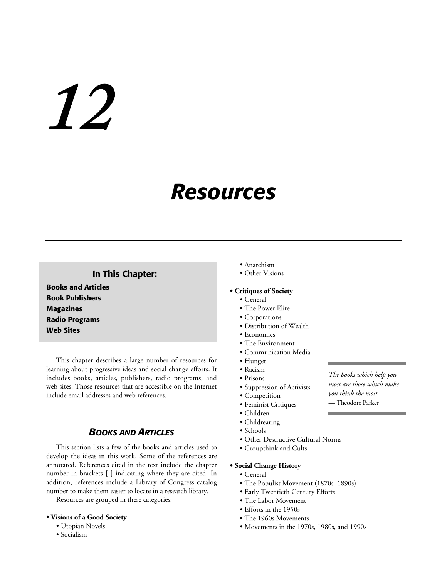# *12*

# *Resources*

# **In This Chapter:**

**Books and Articles Book Publishers Magazines Radio Programs Web Sites**

This chapter describes a large number of resources for learning about progressive ideas and social change efforts. It includes books, articles, publishers, radio programs, and web sites. Those resources that are accessible on the Internet include email addresses and web references.

# *BOOKS AND ARTICLES*

This section lists a few of the books and articles used to develop the ideas in this work. Some of the references are annotated. References cited in the text include the chapter number in brackets [ ] indicating where they are cited. In addition, references include a Library of Congress catalog number to make them easier to locate in a research library.

Resources are grouped in these categories:

#### **• Visions of a Good Society**

- Utopian Novels
- Socialism
- Anarchism
- Other Visions

#### **• Critiques of Society**

- General
- The Power Elite
- Corporations
- Distribution of Wealth
- Economics
- The Environment
- Communication Media
- Hunger
- Racism
- Prisons
- Suppression of Activists
- Competition
- 
- Children
- Childrearing
- 
- Other Destructive Cultural Norms
- Groupthink and Cults

#### **• Social Change History**

- General
- The Populist Movement (1870s–1890s)
- Early Twentieth Century Efforts
- The Labor Movement
- Efforts in the 1950s
- The 1960s Movements
- Movements in the 1970s, 1980s, and 1990s

*The books which help you most are those which make you think the most.* — Theodore Parker

- Feminist Critiques
- Schools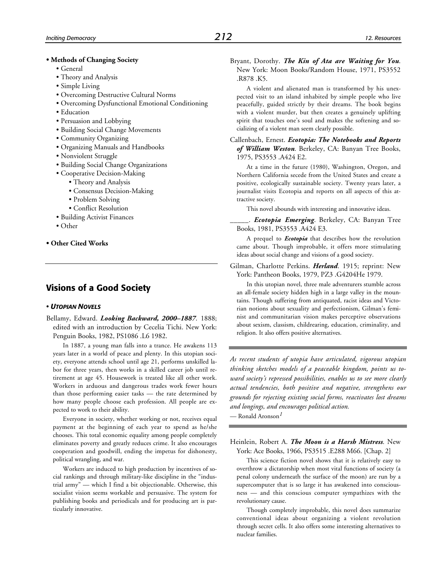#### **• Methods of Changing Society**

- General
- Theory and Analysis
- Simple Living
- Overcoming Destructive Cultural Norms
- Overcoming Dysfunctional Emotional Conditioning
- Education
- Persuasion and Lobbying
- Building Social Change Movements
- Community Organizing
- Organizing Manuals and Handbooks
- Nonviolent Struggle
- Building Social Change Organizations
- Cooperative Decision-Making
	- Theory and Analysis
	- Consensus Decision-Making
	- Problem Solving
	- Conflict Resolution
- Building Activist Finances
- Other

**• Other Cited Works**

# **Visions of a Good Society**

#### *• UTOPIAN NOVELS*

Bellamy, Edward. *Looking Backward, 2000–1887*. 1888; edited with an introduction by Cecelia Tichi. New York: Penguin Books, 1982, PS1086 .L6 1982.

In 1887, a young man falls into a trance. He awakens 113 years later in a world of peace and plenty. In this utopian society, everyone attends school until age 21, performs unskilled labor for three years, then works in a skilled career job until retirement at age 45. Housework is treated like all other work. Workers in arduous and dangerous trades work fewer hours than those performing easier tasks — the rate determined by how many people choose each profession. All people are expected to work to their ability.

Everyone in society, whether working or not, receives equal payment at the beginning of each year to spend as he/she chooses. This total economic equality among people completely eliminates poverty and greatly reduces crime. It also encourages cooperation and goodwill, ending the impetus for dishonesty, political wrangling, and war.

Workers are induced to high production by incentives of social rankings and through military-like discipline in the "industrial army" — which I find a bit objectionable. Otherwise, this socialist vision seems workable and persuasive. The system for publishing books and periodicals and for producing art is particularly innovative.

Bryant, Dorothy. *The Kin of Ata are Waiting for You*. New York: Moon Books/Random House, 1971, PS3552 .R878 .K5.

A violent and alienated man is transformed by his unexpected visit to an island inhabited by simple people who live peacefully, guided strictly by their dreams. The book begins with a violent murder, but then creates a genuinely uplifting spirit that touches one's soul and makes the softening and socializing of a violent man seem clearly possible.

Callenbach, Ernest. *Ecotopia: The Notebooks and Reports of William Weston*. Berkeley, CA: Banyan Tree Books, 1975, PS3553 .A424 E2.

At a time in the future (1980), Washington, Oregon, and Northern California secede from the United States and create a positive, ecologically sustainable society. Twenty years later, a journalist visits Ecotopia and reports on all aspects of this attractive society.

This novel abounds with interesting and innovative ideas.

\_\_\_\_\_. *Ecotopia Emerging*. Berkeley, CA: Banyan Tree Books, 1981, PS3553 .A424 E3.

A prequel to *Ecotopia* that describes how the revolution came about. Though improbable, it offers more stimulating ideas about social change and visions of a good society.

Gilman, Charlotte Perkins. *Herland*. 1915; reprint: New York: Pantheon Books, 1979, PZ3 .G4204He 1979.

In this utopian novel, three male adventurers stumble across an all-female society hidden high in a large valley in the mountains. Though suffering from antiquated, racist ideas and Victorian notions about sexuality and perfectionism, Gilman's feminist and communitarian vision makes perceptive observations about sexism, classism, childrearing, education, criminality, and religion. It also offers positive alternatives.

*As recent students of utopia have articulated, vigorous utopian thinking sketches models of a peaceable kingdom, points us toward society's repressed possibilities, enables us to see more clearly actual tendencies, both positive and negative, strengthens our grounds for rejecting existing social forms, reactivates lost dreams and longings, and encourages political action.*

— Ronald Aronson*1*

Heinlein, Robert A. *The Moon is a Harsh Mistress*. New York: Ace Books, 1966, PS3515 .E288 M66. [Chap. 2]

This science fiction novel shows that it is relatively easy to overthrow a dictatorship when most vital functions of society (a penal colony underneath the surface of the moon) are run by a supercomputer that is so large it has awakened into consciousness — and this conscious computer sympathizes with the revolutionary cause.

Though completely improbable, this novel does summarize conventional ideas about organizing a violent revolution through secret cells. It also offers some interesting alternatives to nuclear families.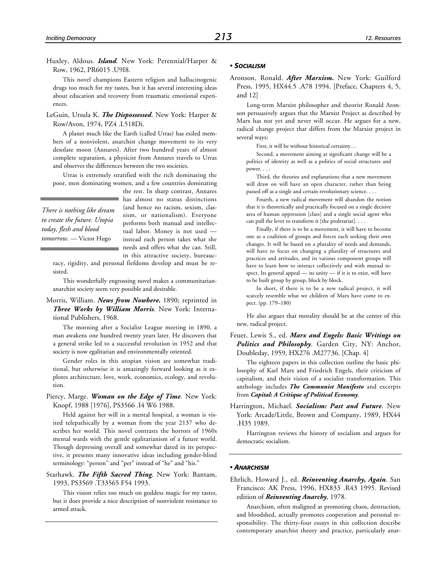This novel champions Eastern religion and hallucinogenic drugs too much for my tastes, but it has several interesting ideas about education and recovery from traumatic emotional experiences.

LeGuin, Ursula K. *The Dispossessed*. New York: Harper & Row/Avon, 1974, PZ4 .L518Di.

A planet much like the Earth (called Urras) has exiled members of a nonviolent, anarchist change movement to its very desolate moon (Annares). After two hundred years of almost complete separation, a physicist from Annares travels to Urras and observes the differences between the two societies.

Urras is extremely stratified with the rich dominating the poor, men dominating women, and a few countries dominating

*There is nothing like dream to create the future. Utopia today, flesh and blood tomorrow.* — Victor Hugo

the rest. In sharp contrast, Annares has almost no status distinctions (and hence no racism, sexism, classism, or nationalism). Everyone performs both manual and intellectual labor. Money is not used instead each person takes what she needs and offers what she can. Still, in this attractive society, bureauc-

racy, rigidity, and personal fiefdoms develop and must be resisted.

This wonderfully engrossing novel makes a communitariananarchist society seem very possible and desirable.

Morris, William. *News from Nowhere.* 1890; reprinted in *Three Works by William Morris*. New York: International Publishers, 1968.

The morning after a Socialist League meeting in 1890, a man awakens one hundred twenty years later. He discovers that a general strike led to a successful revolution in 1952 and that society is now egalitarian and environmentally oriented.

Gender roles in this utopian vision are somewhat traditional, but otherwise it is amazingly forward looking as it explores architecture, love, work, economics, ecology, and revolution.

Piercy, Marge. *Woman on the Edge of Time*. New York: Knopf, 1988 [1976], PS3566 .I4 W6 1988.

Held against her will in a mental hospital, a woman is visited telepathically by a woman from the year 2137 who describes her world. This novel contrasts the horrors of 1960s mental wards with the gentle egalitarianism of a future world. Though depressing overall and somewhat dated in its perspective, it presents many innovative ideas including gender-blind terminology: "person" and "per" instead of "he" and "his."

Starhawk. *The Fifth Sacred Thing*. New York: Bantam, 1993, PS3569 .T33565 F54 1993.

This vision relies too much on goddess magic for my tastes, but it does provide a nice description of nonviolent resistance to armed attack.

#### *• SOCIALISM*

Aronson, Ronald. *After Marxism.* New York: Guilford Press, 1995, HX44.5 .A78 1994. [Preface, Chapters 4, 5, and 12]

Long-term Marxist philosopher and theorist Ronald Aronson persuasively argues that the Marxist Project as described by Marx has not yet and never will occur. He argues for a new, radical change project that differs from the Marxist project in several ways:

First, it will be without historical certainty…

Second, a movement aiming at significant change will be a politics of identity as well as a politics of social structures and power. . . .

Third, the theories and explanations that a new movement will draw on will have an open character, rather than being passed off as a single and certain revolutionary science. . . .

Fourth, a new radical movement will abandon the notion that it is theoretically and practically focused on a single decisive area of human oppression [class] and a single social agent who can pull the lever to transform it [the proletariat]. . . .

Finally, if there is to be a movement, it will have to become one as a coalition of groups and forces each seeking their own changes. It will be based on a plurality of needs and demands, will have to focus on changing a plurality of structures and practices and attitudes, and its various component groups will have to learn how to interact collectively and with mutual respect. Its general appeal — its unity — if it is to exist, will have to be built group by group, block by block.

In short, if there is to be a new radical project, it will scarcely resemble what we children of Marx have come to expect. (pp. 179–180)

He also argues that morality should be at the center of this new, radical project.

#### Feuer, Lewis S., ed. *Marx and Engels: Basic Writings on Politics and Philosophy*. Garden City, NY: Anchor, Doubleday, 1959, HX276 .M27736. [Chap. 4]

The eighteen papers in this collection outline the basic philosophy of Karl Marx and Friedrich Engels, their criticism of capitalism, and their vision of a socialist transformation. This anthology includes *The Communist Manifesto* and excerpts from *Capital: A Critique of Political Economy*.

Harrington, Michael. *Socialism: Past and Future*. New York: Arcade/Little, Brown and Company, 1989, HX44 .H35 1989.

Harrington reviews the history of socialism and argues for democratic socialism.

#### *• ANARCHISM*

#### Ehrlich, Howard J., ed. *Reinventing Anarchy, Again*. San Francisco: AK Press, 1996, HX833 .R43 1995. Revised edition of *Reinventing Anarchy*, 1978.

Anarchism, often maligned as promoting chaos, destruction, and bloodshed, actually promotes cooperation and personal responsibility. The thirty-four essays in this collection describe contemporary anarchist theory and practice, particularly anar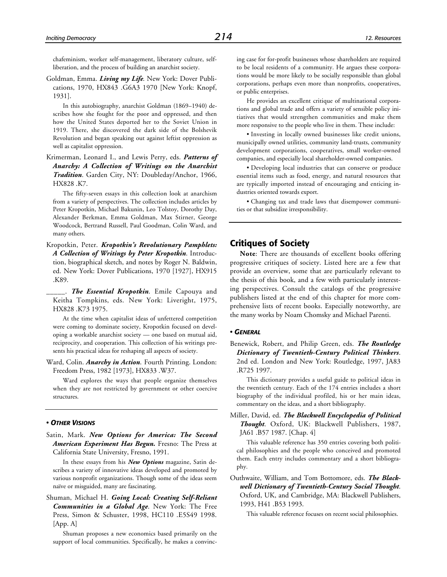chafeminism, worker self-management, liberatory culture, selfliberation, and the process of building an anarchist society.

Goldman, Emma. *Living my Life*. New York: Dover Publications, 1970, HX843 .G6A3 1970 [New York: Knopf, 1931].

In this autobiography, anarchist Goldman (1869–1940) describes how she fought for the poor and oppressed, and then how the United States deported her to the Soviet Union in 1919. There, she discovered the dark side of the Bolshevik Revolution and began speaking out against leftist oppression as well as capitalist oppression.

Krimerman, Leonard I., and Lewis Perry, eds. *Patterns of Anarchy: A Collection of Writings on the Anarchist Tradition*. Garden City, NY: Doubleday/Anchor, 1966, HX828 .K7.

The fifty-seven essays in this collection look at anarchism from a variety of perspectives. The collection includes articles by Peter Kropotkin, Michael Bakunin, Leo Tolstoy, Dorothy Day, Alexander Berkman, Emma Goldman, Max Stirner, George Woodcock, Bertrand Russell, Paul Goodman, Colin Ward, and many others.

Kropotkin, Peter. *Kropotkin's Revolutionary Pamphlets: A Collection of Writings by Peter Kropotkin*. Introduction, biographical sketch, and notes by Roger N. Baldwin, ed. New York: Dover Publications, 1970 [1927], HX915 .K89.

\_\_\_\_\_. *The Essential Kropotkin*. Emile Capouya and Keitha Tompkins, eds. New York: Liveright, 1975, HX828 .K73 1975.

At the time when capitalist ideas of unfettered competition were coming to dominate society, Kropotkin focused on developing a workable anarchist society — one based on mutual aid, reciprocity, and cooperation. This collection of his writings presents his practical ideas for reshaping all aspects of society.

Ward, Colin. *Anarchy in Action*. Fourth Printing. London: Freedom Press, 1982 [1973], HX833 .W37.

Ward explores the ways that people organize themselves when they are not restricted by government or other coercive structures.

#### *• OTHER VISIONS*

Satin, Mark. *New Options for America: The Second American Experiment Has Begun.* Fresno: The Press at California State University, Fresno, 1991.

In these essays from his *New Options* magazine, Satin describes a variety of innovative ideas developed and promoted by various nonprofit organizations. Though some of the ideas seem naïve or misguided, many are fascinating.

Shuman, Michael H. *Going Local: Creating Self-Reliant Communities in a Global Age*. New York: The Free Press, Simon & Schuster, 1998, HC110 .E5S49 1998. [App. A]

Shuman proposes a new economics based primarily on the support of local communities. Specifically, he makes a convincing case for for-profit businesses whose shareholders are required to be local residents of a community. He argues these corporations would be more likely to be socially responsible than global corporations, perhaps even more than nonprofits, cooperatives, or public enterprises.

He provides an excellent critique of multinational corporations and global trade and offers a variety of sensible policy initiatives that would strengthen communities and make them more responsive to the people who live in them. These include:

• Investing in locally owned businesses like credit unions, municipally owned utilities, community land-trusts, community development corporations, cooperatives, small worker-owned companies, and especially local shareholder-owned companies.

• Developing local industries that can conserve or produce essential items such as food, energy, and natural resources that are typically imported instead of encouraging and enticing industries oriented towards export.

• Changing tax and trade laws that disempower communities or that subsidize irresponsibility.

# **Critiques of Society**

**Note**: There are thousands of excellent books offering progressive critiques of society. Listed here are a few that provide an overview, some that are particularly relevant to the thesis of this book, and a few with particularly interesting perspectives. Consult the catalogs of the progressive publishers listed at the end of this chapter for more comprehensive lists of recent books. Especially noteworthy, are the many works by Noam Chomsky and Michael Parenti.

#### *• GENERAL*

Benewick, Robert, and Philip Green, eds. *The Routledge Dictionary of Twentieth-Century Political Thinkers*. 2nd ed. London and New York: Routledge, 1997, JA83 .R725 1997.

This dictionary provides a useful guide to political ideas in the twentieth century. Each of the 174 entries includes a short biography of the individual profiled, his or her main ideas, commentary on the ideas, and a short bibliography.

Miller, David, ed. *The Blackwell Encyclopedia of Political Thought*. Oxford, UK: Blackwell Publishers, 1987, JA61 .B57 1987. [Chap. 4]

This valuable reference has 350 entries covering both political philosophies and the people who conceived and promoted them. Each entry includes commentary and a short bibliography.

Outhwaite, William, and Tom Bottomore, eds. *The Blackwell Dictionary of Twentieth-Century Social Thought*. Oxford, UK, and Cambridge, MA: Blackwell Publishers, 1993, H41 .B53 1993.

This valuable reference focuses on recent social philosophies.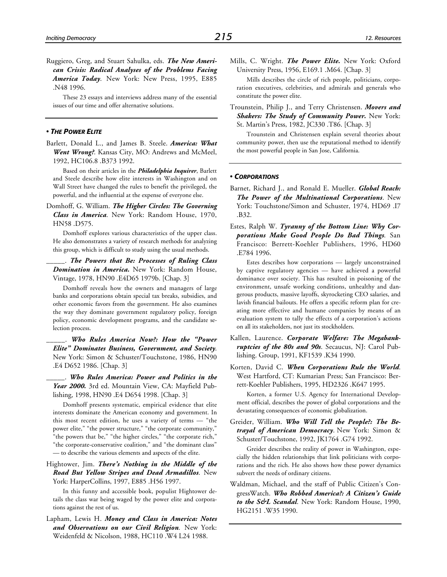Ruggiero, Greg, and Stuart Sahulka, eds. *The New American Crisis: Radical Analyses of the Problems Facing America Today*. New York: New Press, 1995, E885 .N48 1996.

These 23 essays and interviews address many of the essential issues of our time and offer alternative solutions.

#### *• THE POWER ELITE*

Barlett, Donald L., and James B. Steele. *America: What Went Wrong?*. Kansas City, MO: Andrews and McMeel, 1992, HC106.8 .B373 1992.

Based on their articles in the *Philadelphia Inquirer*, Barlett and Steele describe how elite interests in Washington and on Wall Street have changed the rules to benefit the privileged, the powerful, and the influential at the expense of everyone else.

Domhoff, G. William. *The Higher Circles: The Governing Class in America*. New York: Random House, 1970, HN58 .D575.

Domhoff explores various characteristics of the upper class. He also demonstrates a variety of research methods for analyzing this group, which is difficult to study using the usual methods.

\_\_\_\_\_. *The Powers that Be: Processes of Ruling Class Domination in America.* New York: Random House, Vintage, 1978, HN90 .E4D65 1979b. [Chap. 3]

Domhoff reveals how the owners and managers of large banks and corporations obtain special tax breaks, subsidies, and other economic favors from the government. He also examines the way they dominate government regulatory policy, foreign policy, economic development programs, and the candidate selection process.

\_\_\_\_\_. *Who Rules America Now?: How the "Power Elite" Dominates Business, Government, and Society*. New York: Simon & Schuster/Touchstone, 1986, HN90 .E4 D652 1986. [Chap. 3]

\_\_\_\_\_. *Who Rules America: Power and Politics in the Year 2000.* 3rd ed. Mountain View, CA: Mayfield Publishing, 1998, HN90 .E4 D654 1998. [Chap. 3]

Domhoff presents systematic, empirical evidence that elite interests dominate the American economy and government. In this most recent edition, he uses a variety of terms — "the power elite," "the power structure," "the corporate community," "the powers that be," "the higher circles," "the corporate rich," "the corporate-conservative coalition," and "the dominant class" — to describe the various elements and aspects of the elite.

Hightower, Jim. *There's Nothing in the Middle of the Road But Yellow Stripes and Dead Armadillos*. New York: HarperCollins, 1997, E885 .H56 1997.

In this funny and accessible book, populist Hightower details the class war being waged by the power elite and corporations against the rest of us.

Lapham, Lewis H. *Money and Class in America: Notes and Observations on our Civil Religion*. New York: Weidenfeld & Nicolson, 1988, HC110 .W4 L24 1988.

Mills, C. Wright. *The Power Elite.* New York: Oxford University Press, 1956, E169.1 .M64. [Chap. 3]

Mills describes the circle of rich people, politicians, corporation executives, celebrities, and admirals and generals who constitute the power elite.

Trounstein, Philip J., and Terry Christensen. *Movers and Shakers: The Study of Community Power.* New York: St. Martin's Press, 1982, JC330 .T86. [Chap. 3]

Trounstein and Christensen explain several theories about community power, then use the reputational method to identify the most powerful people in San Jose, California.

#### *• CORPORATIONS*

- Barnet, Richard J., and Ronald E. Mueller. *Global Reach: The Power of the Multinational Corporations*. New York: Touchstone/Simon and Schuster, 1974, HD69 .I7 .B32.
- Estes, Ralph W. *Tyranny of the Bottom Line: Why Corporations Make Good People Do Bad Things*. San Francisco: Berrett-Koehler Publishers, 1996, HD60 .E784 1996.

Estes describes how corporations — largely unconstrained by captive regulatory agencies — have achieved a powerful dominance over society. This has resulted in poisoning of the environment, unsafe working conditions, unhealthy and dangerous products, massive layoffs, skyrocketing CEO salaries, and lavish financial bailouts. He offers a specific reform plan for creating more effective and humane companies by means of an evaluation system to tally the effects of a corporation's actions on all its stakeholders, not just its stockholders.

- Kallen, Laurence. *Corporate Welfare: The Megabankruptcies of the 80s and 90s*. Secaucus, NJ: Carol Publishing. Group, 1991, KF1539 .K34 1990.
- Korten, David C. *When Corporations Rule the World*. West Hartford, CT: Kumarian Press; San Francisco: Berrett-Koehler Publishers, 1995, HD2326 .K647 1995.

Korten, a former U.S. Agency for International Development official, describes the power of global corporations and the devastating consequences of economic globalization.

Greider, William. *Who Will Tell the People?: The Betrayal of American Democracy*. New York: Simon & Schuster/Touchstone, 1992, JK1764 .G74 1992.

Greider describes the reality of power in Washington, especially the hidden relationships that link politicians with corporations and the rich. He also shows how these power dynamics subvert the needs of ordinary citizens.

Waldman, Michael, and the staff of Public Citizen's CongressWatch. *Who Robbed America?: A Citizen's Guide to the S&L Scandal*. New York: Random House, 1990, HG2151 .W35 1990.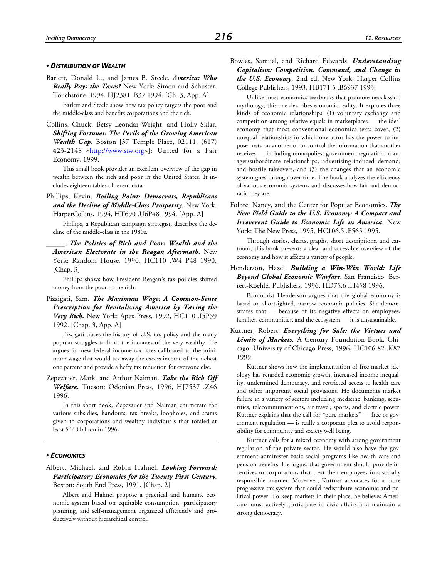#### *• DISTRIBUTION OF WEALTH*

Barlett, Donald L., and James B. Steele. *America: Who Really Pays the Taxes?* New York: Simon and Schuster, Touchstone, 1994, HJ2381 .B37 1994. [Ch. 3, App. A]

Barlett and Steele show how tax policy targets the poor and the middle-class and benefits corporations and the rich.

Collins, Chuck, Betsy Leondar-Wright, and Holly Sklar. *Shifting Fortunes: The Perils of the Growing American Wealth Gap*. Boston [37 Temple Place, 02111, (617) 423-2148 [<http://www.stw.org>\]:](http://www.stw.org>]:) United for a Fair Economy, 1999.

This small book provides an excellent overview of the gap in wealth between the rich and poor in the United States. It includes eighteen tables of recent data.

Phillips, Kevin. *Boiling Point: Democrats, Republicans and the Decline of Middle-Class Prosperity*. New York: HarperCollins, 1994, HT690 .U6P48 1994. [App. A]

Phillips, a Republican campaign strategist, describes the decline of the middle-class in the 1980s.

\_\_\_\_\_. *The Politics of Rich and Poor: Wealth and the American Electorate in the Reagan Aftermath.* New York: Random House, 1990, HC110 .W4 P48 1990. [Chap. 3]

Phillips shows how President Reagan's tax policies shifted money from the poor to the rich.

Pizzigati, Sam. *The Maximum Wage: A Common-Sense Prescription for Revitalizing America by Taxing the Very Rich.* New York: Apex Press, 1992, HC110 .I5P59 1992. [Chap. 3, App. A]

Pizzigati traces the history of U.S. tax policy and the many popular struggles to limit the incomes of the very wealthy. He argues for new federal income tax rates calibrated to the minimum wage that would tax away the excess income of the richest one percent and provide a hefty tax reduction for everyone else.

Zepezauer, Mark, and Arthur Naiman. *Take the Rich Off Welfare.* Tucson: Odonian Press, 1996, HJ7537 .Z46 1996.

In this short book, Zepezauer and Naiman enumerate the various subsidies, handouts, tax breaks, loopholes, and scams given to corporations and wealthy individuals that totaled at least \$448 billion in 1996.

#### *• ECONOMICS*

Albert, Michael, and Robin Hahnel. *Looking Forward: Participatory Economics for the Twenty First Century*. Boston: South End Press, 1991. [Chap. 2]

Albert and Hahnel propose a practical and humane economic system based on equitable consumption, participatory planning, and self-management organized efficiently and productively without hierarchical control.

Bowles, Samuel, and Richard Edwards. *Understanding Capitalism: Competition, Command, and Change in the U.S. Economy*, 2nd ed. New York: Harper Collins College Publishers, 1993, HB171.5 .B6937 1993.

Unlike most economics textbooks that promote neoclassical mythology, this one describes economic reality. It explores three kinds of economic relationships: (1) voluntary exchange and competition among relative equals in marketplaces — the ideal economy that most conventional economics texts cover, (2) unequal relationships in which one actor has the power to impose costs on another or to control the information that another receives — including monopolies, government regulation, manager/subordinate relationships, advertising-induced demand, and hostile takeovers, and (3) the changes that an economic system goes through over time. The book analyzes the efficiency of various economic systems and discusses how fair and democratic they are.

Folbre, Nancy, and the Center for Popular Economics. *The New Field Guide to the U.S. Economy: A Compact and Irreverent Guide to Economic Life in America*. New York: The New Press, 1995, HC106.5 .F565 1995.

Through stories, charts, graphs, short descriptions, and cartoons, this book presents a clear and accessible overview of the economy and how it affects a variety of people.

Henderson, Hazel. *Building a Win-Win World: Life Beyond Global Economic Warfare*. San Francisco: Berrett-Koehler Publishers, 1996, HD75.6 .H458 1996.

Economist Henderson argues that the global economy is based on shortsighted, narrow economic policies. She demonstrates that — because of its negative effects on employees, families, communities, and the ecosystem — it is unsustainable.

Kuttner, Robert. *Everything for Sale: the Virtues and Limits of Markets*. A Century Foundation Book. Chicago: University of Chicago Press, 1996, HC106.82 .K87 1999.

Kuttner shows how the implementation of free market ideology has retarded economic growth, increased income inequality, undermined democracy, and restricted access to health care and other important social provisions. He documents market failure in a variety of sectors including medicine, banking, securities, telecommunications, air travel, sports, and electric power. Kuttner explains that the call for "pure markets" — free of government regulation — is really a corporate plea to avoid responsibility for community and society well being.

Kuttner calls for a mixed economy with strong government regulation of the private sector. He would also have the government administer basic social programs like health care and pension benefits. He argues that government should provide incentives to corporations that treat their employees in a socially responsible manner. Moreover, Kuttner advocates for a more progressive tax system that could redistribute economic and political power. To keep markets in their place, he believes Americans must actively participate in civic affairs and maintain a strong democracy.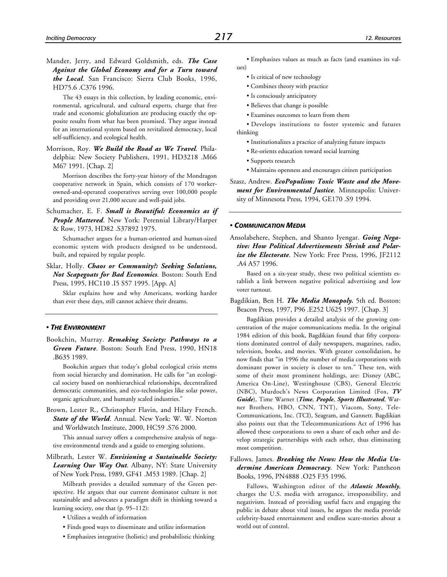Mander, Jerry, and Edward Goldsmith, eds. *The Case Against the Global Economy and for a Turn toward the Local*. San Francisco: Sierra Club Books, 1996, HD75.6 .C376 1996.

The 43 essays in this collection, by leading economic, environmental, agricultural, and cultural experts, charge that free trade and economic globalization are producing exactly the opposite results from what has been promised. They argue instead for an international system based on revitalized democracy, local self-sufficiency, and ecological health.

Morrison, Roy. *We Build the Road as We Travel*. Philadelphia: New Society Publishers, 1991, HD3218 .M66 M67 1991. [Chap. 2]

Morrison describes the forty-year history of the Mondragon cooperative network in Spain, which consists of 170 workerowned-and-operated cooperatives serving over 100,000 people and providing over 21,000 secure and well-paid jobs.

Schumacher, E. F. *Small is Beautiful: Economics as if People Mattered*. New York: Perennial Library/Harper & Row, 1973, HD82 .S37892 1975.

Schumacher argues for a human-oriented and human-sized economic system with products designed to be understood, built, and repaired by regular people.

Sklar, Holly. *Chaos or Community?: Seeking Solutions, Not Scapegoats for Bad Economics*. Boston: South End Press, 1995, HC110 .I5 S57 1995. [App. A]

Sklar explains how and why Americans, working harder than ever these days, still cannot achieve their dreams.

#### *• THE ENVIRONMENT*

Bookchin, Murray. *Remaking Society: Pathways to a Green Future*. Boston: South End Press, 1990, HN18 .B635 1989.

Bookchin argues that today's global ecological crisis stems from social hierarchy and domination. He calls for "an ecological society based on nonhierarchical relationships, decentralized democratic communities, and eco-technologies like solar power, organic agriculture, and humanly scaled industries."

Brown, Lester R., Christopher Flavin, and Hilary French. *State of the World*. Annual. New York: W. W. Norton and Worldwatch Institute, 2000, HC59 .S76 2000.

This annual survey offers a comprehensive analysis of negative environmental trends and a guide to emerging solutions.

Milbrath, Lester W. *Envisioning a Sustainable Society: Learning Our Way Out*. Albany, NY: State University of New York Press, 1989, GF41 .M53 1989. [Chap. 2]

Milbrath provides a detailed summary of the Green perspective. He argues that our current dominator culture is not sustainable and advocates a paradigm shift in thinking toward a learning society, one that (p. 95–112):

- Utilizes a wealth of information
- Finds good ways to disseminate and utilize information
- Emphasizes integrative (holistic) and probabilistic thinking

• Emphasizes values as much as facts (and examines its values)

- Is critical of new technology
- Combines theory with practice
- Is consciously anticipatory
- Believes that change is possible
- Examines outcomes to learn from them

• Develops institutions to foster systemic and futures thinking

- Institutionalizes a practice of analyzing future impacts
- Re-orients education toward social learning
- Supports research
- Maintains openness and encourages citizen participation

Szasz, Andrew. *EcoPopulism: Toxic Waste and the Movement for Environmental Justice*. Minneapolis: University of Minnesota Press, 1994, GE170 .S9 1994.

#### *• COMMUNICATION MEDIA*

Ansolabehere, Stephen, and Shanto Iyengar. *Going Negative: How Political Advertisements Shrink and Polarize the Electorate*. New York: Free Press, 1996, JF2112 .A4 A57 1996.

Based on a six-year study, these two political scientists establish a link between negative political advertising and low voter turnout.

Bagdikian, Ben H. *The Media Monopoly.* 5th ed. Boston: Beacon Press, 1997, P96 .E252 U625 1997. [Chap. 3]

Bagdikian provides a detailed analysis of the growing concentration of the major communications media. In the original 1984 edition of this book, Bagdikian found that fifty corporations dominated control of daily newspapers, magazines, radio, television, books, and movies. With greater consolidation, he now finds that "in 1996 the number of media corporations with dominant power in society is closer to ten." These ten, with some of their most prominent holdings, are: Disney (ABC, America On-Line), Westinghouse (CBS), General Electric (NBC), Murdoch's News Corporation Limited (Fox, *TV Guide*), Time Warner (*Time*, *People*, *Sports Illustrated*, Warner Brothers, HBO, CNN, TNT), Viacom, Sony, Tele-Communications, Inc. (TCI), Seagram, and Gannett. Bagdikian also points out that the Telecommunications Act of 1996 has allowed these corporations to own a share of each other and develop strategic partnerships with each other, thus eliminating most competition.

#### Fallows, James. *Breaking the News: How the Media Undermine American Democracy*. New York: Pantheon Books, 1996, PN4888 .O25 F35 1996.

Fallows, Washington editor of the *Atlantic Monthly*, charges the U.S. media with arrogance, irresponsibility, and negativism. Instead of providing useful facts and engaging the public in debate about vital issues, he argues the media provide celebrity-based entertainment and endless scare-stories about a world out of control.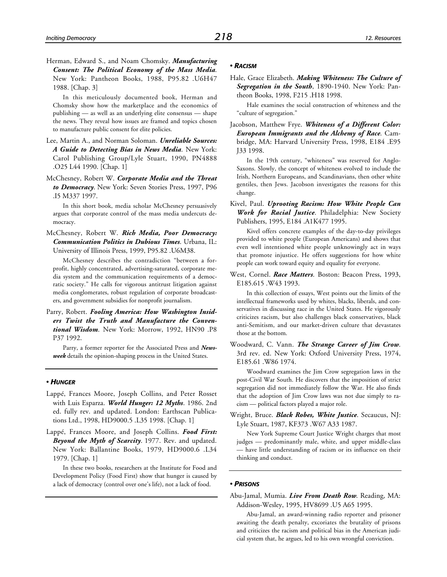Herman, Edward S., and Noam Chomsky. *Manufacturing Consent: The Political Economy of the Mass Media*. New York: Pantheon Books, 1988, P95.82 .U6H47 1988. [Chap. 3]

In this meticulously documented book, Herman and Chomsky show how the marketplace and the economics of publishing — as well as an underlying elite consensus — shape the news. They reveal how issues are framed and topics chosen to manufacture public consent for elite policies.

- Lee, Martin A., and Norman Soloman. *Unreliable Sources: A Guide to Detecting Bias in News Media*. New York: Carol Publishing Group/Lyle Stuart, 1990, PN4888 .O25 L44 1990. [Chap. 1]
- McChesney, Robert W. *Corporate Media and the Threat to Democracy*. New York: Seven Stories Press, 1997, P96 .I5 M337 1997.

In this short book, media scholar McChesney persuasively argues that corporate control of the mass media undercuts democracy.

McChesney, Robert W. *Rich Media, Poor Democracy: Communication Politics in Dubious Times*. Urbana, IL: University of Illinois Press, 1999, P95.82 .U6M38.

McChesney describes the contradiction "between a forprofit, highly concentrated, advertising-saturated, corporate media system and the communication requirements of a democratic society." He calls for vigorous antitrust litigation against media conglomerates, robust regulation of corporate broadcasters, and government subsidies for nonprofit journalism.

Parry, Robert. *Fooling America: How Washington Insiders Twist the Truth and Manufacture the Conventional Wisdom*. New York: Morrow, 1992, HN90 .P8 P37 1992.

Parry, a former reporter for the Associated Press and *Newsweek* details the opinion-shaping process in the United States.

#### *• HUNGER*

- Lappé, Frances Moore, Joseph Collins, and Peter Rosset with Luis Esparza. *World Hunger: 12 Myths*. 1986. 2nd ed. fully rev. and updated. London: Earthscan Publications Ltd., 1998, HD9000.5 .L35 1998. [Chap. 1]
- Lappé, Frances Moore, and Joseph Collins. *Food First: Beyond the Myth of Scarcity*. 1977. Rev. and updated. New York: Ballantine Books, 1979, HD9000.6 .L34 1979. [Chap. 1]

In these two books, researchers at the Institute for Food and Development Policy (Food First) show that hunger is caused by a lack of democracy (control over one's life), not a lack of food.

#### *• RACISM*

Hale, Grace Elizabeth. *Making Whiteness: The Culture of Segregation in the South*, 1890-1940. New York: Pantheon Books, 1998, F215 .H18 1998.

Hale examines the social construction of whiteness and the "culture of segregation."

Jacobson, Matthew Frye. *Whiteness of a Different Color: European Immigrants and the Alchemy of Race*. Cambridge, MA: Harvard University Press, 1998, E184 .E95 J33 1998.

In the 19th century, "whiteness" was reserved for Anglo-Saxons. Slowly, the concept of whiteness evolved to include the Irish, Northern Europeans, and Scandinavians, then other white gentiles, then Jews. Jacobson investigates the reasons for this change.

Kivel, Paul. *Uprooting Racism: How White People Can Work for Racial Justice*. Philadelphia: New Society Publishers, 1995, E184 .A1K477 1995.

Kivel offers concrete examples of the day-to-day privileges provided to white people (European Americans) and shows that even well intentioned white people unknowingly act in ways that promote injustice. He offers suggestions for how white people can work toward equity and equality for everyone.

West, Cornel. *Race Matters*. Boston: Beacon Press, 1993, E185.615 .W43 1993.

In this collection of essays, West points out the limits of the intellectual frameworks used by whites, blacks, liberals, and conservatives in discussing race in the United States. He vigorously criticizes racism, but also challenges black conservatives, black anti-Semitism, and our market-driven culture that devastates those at the bottom.

Woodward, C. Vann. *The Strange Career of Jim Crow*. 3rd rev. ed. New York: Oxford University Press, 1974, E185.61 .W86 1974.

Woodward examines the Jim Crow segregation laws in the post-Civil War South. He discovers that the imposition of strict segregation did not immediately follow the War. He also finds that the adoption of Jim Crow laws was not due simply to racism — political factors played a major role.

Wright, Bruce. *Black Robes, White Justice*. Secaucus, NJ: Lyle Stuart, 1987, KF373 .W67 A33 1987.

New York Supreme Court Justice Wright charges that most judges — predominantly male, white, and upper middle-class — have little understanding of racism or its influence on their thinking and conduct.

#### *• PRISONS*

#### Abu-Jamal, Mumia. *Live From Death Row*. Reading, MA: Addison-Wesley, 1995, HV8699 .U5 A65 1995.

Abu-Jamal, an award-winning radio reporter and prisoner awaiting the death penalty, excoriates the brutality of prisons and criticizes the racism and political bias in the American judicial system that, he argues, led to his own wrongful conviction.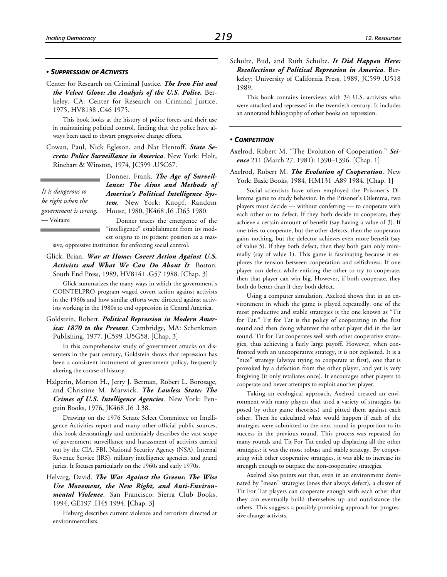#### *• SUPPRESSION OF ACTIVISTS*

Center for Research on Criminal Justice. *The Iron Fist and the Velvet Glove: An Analysis of the U.S. Police.* Berkeley, CA: Center for Research on Criminal Justice, 1975, HV8138 .C46 1975.

This book looks at the history of police forces and their use in maintaining political control, finding that the police have always been used to thwart progressive change efforts.

Cowan, Paul, Nick Egleson, and Nat Hentoff. *State Secrets: Police Surveillance in America*. New York: Holt, Rinehart & Winston, 1974, JC599 .U5C67.

*It is dangerous to be right when the government is wrong.* — Voltaire

Donner, Frank. *The Age of Surveillance: The Aims and Methods of America's Political Intelligence System*. New York: Knopf, Random House, 1980, JK468 .I6 .D65 1980.

Donner traces the emergence of the "intelligence" establishment from its modest origins to its present position as a mas-

sive, oppressive institution for enforcing social control.

Glick, Brian. *War at Home: Covert Action Against U.S. Activists and What We Can Do About It*. Boston: South End Press, 1989, HV8141 .G57 1988. [Chap. 3]

Glick summarizes the many ways in which the government's COINTELPRO program waged covert action against activists in the 1960s and how similar efforts were directed against activists working in the 1980s to end oppression in Central America.

Goldstein, Robert. *Political Repression in Modern America: 1870 to the Present*. Cambridge, MA: Schenkman Publishing, 1977, JC599 .U5G58. [Chap. 3]

In this comprehensive study of government attacks on dissenters in the past century, Goldstein shows that repression has been a consistent instrument of government policy, frequently altering the course of history.

Halperin, Morton H., Jerry J. Berman, Robert L. Borosage, and Christine M. Marwick. *The Lawless State: The Crimes of U.S. Intelligence Agencies*. New York: Penguin Books, 1976, JK468 .I6 .L38.

Drawing on the 1976 Senate Select Committee on Intelligence Activities report and many other official public sources, this book devastatingly and undeniably describes the vast scope of government surveillance and harassment of activists carried out by the CIA, FBI, National Security Agency (NSA), Internal Revenue Service (IRS), military intelligence agencies, and grand juries. It focuses particularly on the 1960s and early 1970s.

Helvarg, David. *The War Against the Greens: The Wise Use Movement, the New Right, and Anti-Environmental Violence*. San Francisco: Sierra Club Books, 1994, GE197 .H45 1994. [Chap. 3]

Helvarg describes current violence and terrorism directed at environmentalists.

Schultz, Bud, and Ruth Schultz. *It Did Happen Here: Recollections of Political Repression in America*. Berkeley: University of California Press, 1989, JC599 .U518 1989.

This book contains interviews with 34 U.S. activists who were attacked and repressed in the twentieth century. It includes an annotated bibliography of other books on repression.

#### *• COMPETITION*

Axelrod, Robert M. "The Evolution of Cooperation." *Science* 211 (March 27, 1981): 1390–1396. [Chap. 1]

Axelrod, Robert M. *The Evolution of Cooperation*. New York: Basic Books, 1984, HM131 .A89 1984. [Chap. 1]

Social scientists have often employed the Prisoner's Dilemma game to study behavior. In the Prisoner's Dilemma, two players must decide — without conferring — to cooperate with each other or to defect. If they both decide to cooperate, they achieve a certain amount of benefit (say having a value of 3). If one tries to cooperate, but the other defects, then the cooperator gains nothing, but the defector achieves even more benefit (say of value 5). If they both defect, then they both gain only minimally (say of value 1). This game is fascinating because it explores the tension between cooperation and selfishness. If one player can defect while enticing the other to try to cooperate, then that player can win big. However, if both cooperate, they both do better than if they both defect.

Using a computer simulation, Axelrod shows that in an environment in which the game is played repeatedly, one of the most productive and stable strategies is the one known as "Tit for Tat." Tit for Tat is the policy of cooperating in the first round and then doing whatever the other player did in the last round. Tit for Tat cooperates well with other cooperative strategies, thus achieving a fairly large payoff. However, when confronted with an uncooperative strategy, it is not exploited. It is a "nice" strategy (always trying to cooperate at first), one that is provoked by a defection from the other player, and yet is very forgiving (it only retaliates once). It encourages other players to cooperate and never attempts to exploit another player.

Taking an ecological approach, Axelrod created an environment with many players that used a variety of strategies (as posed by other game theorists) and pitted them against each other. Then he calculated what would happen if each of the strategies were submitted to the next round in proportion to its success in the previous round. This process was repeated for many rounds and Tit For Tat ended up displacing all the other strategies: it was the most robust and stable strategy. By cooperating with other cooperative strategies, it was able to increase its strength enough to outpace the non-cooperative strategies.

Axelrod also points out that, even in an environment dominated by "mean" strategies (ones that always defect), a cluster of Tit For Tat players can cooperate enough with each other that they can eventually build themselves up and outdistance the others. This suggests a possibly promising approach for progressive change activists.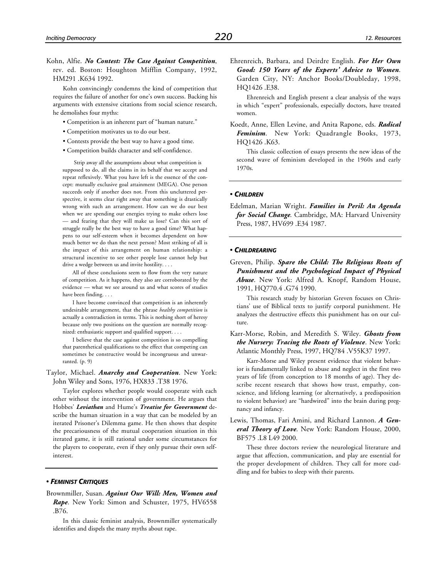Kohn, Alfie. *No Contest: The Case Against Competition*, rev. ed. Boston: Houghton Mifflin Company, 1992, HM291 .K634 1992.

Kohn convincingly condemns the kind of competition that requires the failure of another for one's own success. Backing his arguments with extensive citations from social science research, he demolishes four myths:

- Competition is an inherent part of "human nature."
- Competition motivates us to do our best.
- Contests provide the best way to have a good time.
- Competition builds character and self-confidence.

 Strip away all the assumptions about what competition is supposed to do, all the claims in its behalf that we accept and repeat reflexively. What you have left is the essence of the concept: mutually exclusive goal attainment (MEGA). One person succeeds only if another does not. From this uncluttered perspective, it seems clear right away that something is drastically wrong with such an arrangement. How can we do our best when we are spending our energies trying to make others lose — and fearing that they will make us lose? Can this sort of struggle really be the best way to have a good time? What happens to our self-esteem when it becomes dependent on how much better we do than the next person? Most striking of all is the impact of this arrangement on human relationship: a structural incentive to see other people lose cannot help but drive a wedge between us and invite hostility. . . .

All of these conclusions seem to flow from the very nature of competition. As it happens, they also are corroborated by the evidence — what we see around us and what scores of studies have been finding. . . .

I have become convinced that competition is an inherently undesirable arrangement, that the phrase *healthy competition* is actually a contradiction in terms. This is nothing short of heresy because only two positions on the question are normally recognized: enthusiastic support and qualified support. . . .

I believe that the case against competition is so compelling that parenthetical qualifications to the effect that competing can sometimes be constructive would be incongruous and unwarranted. (p. 9)

Taylor, Michael. *Anarchy and Cooperation*. New York: John Wiley and Sons, 1976, HX833 .T38 1976.

Taylor explores whether people would cooperate with each other without the intervention of government. He argues that Hobbes' *Leviathan* and Hume's *Treatise for Government* describe the human situation in a way that can be modeled by an iterated Prisoner's Dilemma game. He then shows that despite the precariousness of the mutual cooperation situation in this iterated game, it is still rational under some circumstances for the players to cooperate, even if they only pursue their own selfinterest.

#### *• FEMINIST CRITIQUES*

Brownmiller, Susan. *Against Our Will: Men, Women and Rape*. New York: Simon and Schuster, 1975, HV6558 .B76.

In this classic feminist analysis, Brownmiller systematically identifies and dispels the many myths about rape.

Ehrenreich, Barbara, and Deirdre English. *For Her Own Good: 150 Years of the Experts' Advice to Women*. Garden City, NY: Anchor Books/Doubleday, 1998, HQ1426 .E38.

Ehrenreich and English present a clear analysis of the ways in which "expert" professionals, especially doctors, have treated women.

Koedt, Anne, Ellen Levine, and Anita Rapone, eds. *Radical Feminism*. New York: Quadrangle Books, 1973, HQ1426 .K63.

This classic collection of essays presents the new ideas of the second wave of feminism developed in the 1960s and early 1970s.

#### *• CHILDREN*

Edelman, Marian Wright. *Families in Peril: An Agenda for Social Change*. Cambridge, MA: Harvard University Press, 1987, HV699 .E34 1987.

#### *• CHILDREARING*

Greven, Philip. *Spare the Child: The Religious Roots of Punishment and the Psychological Impact of Physical Abuse*. New York: Alfred A. Knopf, Random House, 1991, HQ770.4 .G74 1990.

This research study by historian Greven focuses on Christians' use of Biblical texts to justify corporal punishment. He analyzes the destructive effects this punishment has on our culture.

Karr-Morse, Robin, and Meredith S. Wiley. *Ghosts from the Nursery: Tracing the Roots of Violence*. New York: Atlantic Monthly Press, 1997, HQ784 .V55K37 1997.

Karr-Morse and Wiley present evidence that violent behavior is fundamentally linked to abuse and neglect in the first two years of life (from conception to 18 months of age). They describe recent research that shows how trust, empathy, conscience, and lifelong learning (or alternatively, a predisposition to violent behavior) are "hardwired" into the brain during pregnancy and infancy.

Lewis, Thomas, Fari Amini, and Richard Lannon. *A General Theory of Love*. New York: Random House, 2000, BF575 .L8 L49 2000.

These three doctors review the neurological literature and argue that affection, communication, and play are essential for the proper development of children. They call for more cuddling and for babies to sleep with their parents.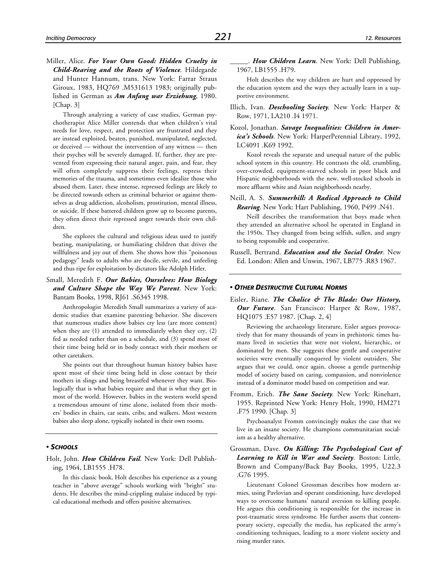Miller, Alice. *For Your Own Good: Hidden Cruelty in Child-Rearing and the Roots of Violence*. Hildegarde and Hunter Hannum, trans. New York: Farrar Straus Giroux, 1983, HQ769 .M531613 1983; originally published in German as *Am Anfang war Erziehung*, 1980. [Chap. 3]

Through analyzing a variety of case studies, German psychotherapist Alice Miller contends that when children's vital needs for love, respect, and protection are frustrated and they are instead exploited, beaten, punished, manipulated, neglected, or deceived — without the intervention of any witness — then their psyches will be severely damaged. If, further, they are prevented from expressing their natural anger, pain, and fear, they will often completely suppress their feelings, repress their memories of the trauma, and sometimes even idealize those who abused them. Later, these intense, repressed feelings are likely to be directed towards others as criminal behavior or against themselves as drug addiction, alcoholism, prostitution, mental illness, or suicide. If these battered children grow up to become parents, they often direct their repressed anger towards their own children.

She explores the cultural and religious ideas used to justify beating, manipulating, or humiliating children that drives the willfulness and joy out of them. She shows how this "poisonous pedagogy" leads to adults who are docile, servile, and unfeeling and thus ripe for exploitation by dictators like Adolph Hitler.

Small, Meredith F. *Our Babies, Ourselves: How Biology and Culture Shape the Way We Parent*. New York: Bantam Books, 1998, RJ61 .S6345 1998.

Anthropologist Meredith Small summarizes a variety of academic studies that examine parenting behavior. She discovers that numerous studies show babies cry less (are more content) when they are (1) attended to immediately when they cry, (2) fed as needed rather than on a schedule, and (3) spend most of their time being held or in body contact with their mothers or other caretakers.

She points out that throughout human history babies have spent most of their time being held in close contact by their mothers in slings and being breastfed whenever they want. Biologically that is what babies require and that is what they get in most of the world. However, babies in the western world spend a tremendous amount of time alone, isolated from their mothers' bodies in chairs, car seats, cribs, and walkers. Most western babies also sleep alone, typically isolated in their own rooms.

#### *• SCHOOLS*

Holt, John. *How Children Fail*. New York: Dell Publishing, 1964, LB1555 .H78.

In this classic book, Holt describes his experience as a young teacher in "above average" schools working with "bright" students. He describes the mind-crippling malaise induced by typical educational methods and offers positive alternatives.

. **How Children Learn.** New York: Dell Publishing, 1967, LB1555 .H79.

Holt describes the way children are hurt and oppressed by the education system and the ways they actually learn in a supportive environment.

- Illich, Ivan. *Deschooling Society*. New York: Harper & Row, 1971, LA210 .I4 1971.
- Kozol, Jonathan. *Savage Inequalities: Children in America's Schools*. New York: HarperPerennial Library, 1992, LC4091 .K69 1992.

Kozol reveals the separate and unequal nature of the public school system in this country. He contrasts the old, crumbling, over-crowded, equipment-starved schools in poor black and Hispanic neighborhoods with the new, well-stocked schools in more affluent white and Asian neighborhoods nearby.

Neill, A. S. *Summerhill: A Radical Approach to Child Rearing*. New York: Hart Publishing, 1960, P499 .N41.

Neill describes the transformation that boys made when they attended an alternative school he operated in England in the 1950s. They changed from being selfish, sullen, and angry to being responsible and cooperative.

Russell, Bertrand. *Education and the Social Order*. New Ed. London: Allen and Unwin, 1967, LB775 .R83 1967.

#### *• OTHER DESTRUCTIVE CULTURAL NORMS*

Eisler, Riane. *The Chalice & The Blade: Our History, Our Future*. San Francisco: Harper & Row, 1987, HQ1075 .E57 1987. [Chap. 2, 4]

Reviewing the archaeology literature, Eisler argues provocatively that for many thousands of years in prehistoric times humans lived in societies that were not violent, hierarchic, or dominated by men. She suggests these gentle and cooperative societies were eventually conquered by violent outsiders. She argues that we could, once again, choose a gentle partnership model of society based on caring, compassion, and nonviolence instead of a dominator model based on competition and war.

Fromm, Erich. *The Sane Society*. New York: Rinehart, 1955. Reprinted New York: Henry Holt, 1990, HM271 .F75 1990. [Chap. 3]

Psychoanalyst Fromm convincingly makes the case that we live in an insane society. He champions communitarian socialism as a healthy alternative.

Grossman, Dave. *On Killing: The Psychological Cost of Learning to Kill in War and Society*. Boston: Little, Brown and Company/Back Bay Books, 1995, U22.3 .G76 1995.

Lieutenant Colonel Grossman describes how modern armies, using Pavlovian and operant conditioning, have developed ways to overcome humans' natural aversion to killing people. He argues this conditioning is responsible for the increase in post-traumatic stress syndrome. He further asserts that contemporary society, especially the media, has replicated the army's conditioning techniques, leading to a more violent society and rising murder rates.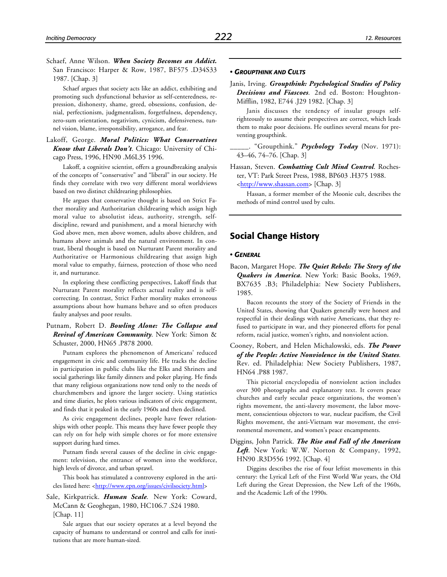Schaef, Anne Wilson. *When Society Becomes an Addict.* San Francisco: Harper & Row, 1987, BF575 .D34S33 1987. [Chap. 3]

Schaef argues that society acts like an addict, exhibiting and promoting such dysfunctional behavior as self-centeredness, repression, dishonesty, shame, greed, obsessions, confusion, denial, perfectionism, judgmentalism, forgetfulness, dependency, zero-sum orientation, negativism, cynicism, defensiveness, tunnel vision, blame, irresponsibility, arrogance, and fear.

Lakoff, George. *Moral Politics: What Conservatives Know that Liberals Don't*. Chicago: University of Chicago Press, 1996, HN90 .M6L35 1996.

Lakoff, a cognitive scientist, offers a groundbreaking analysis of the concepts of "conservative" and "liberal" in our society. He finds they correlate with two very different moral worldviews based on two distinct childrearing philosophies.

He argues that conservative thought is based on Strict Father morality and Authoritarian childrearing which assign high moral value to absolutist ideas, authority, strength, selfdiscipline, reward and punishment, and a moral hierarchy with God above men, men above women, adults above children, and humans above animals and the natural environment. In contrast, liberal thought is based on Nurturant Parent morality and Authoritative or Harmonious childrearing that assign high moral value to empathy, fairness, protection of those who need it, and nurturance.

In exploring these conflicting perspectives, Lakoff finds that Nurturant Parent morality reflects actual reality and is selfcorrecting. In contrast, Strict Father morality makes erroneous assumptions about how humans behave and so often produces faulty analyses and poor results.

#### Putnam, Robert D. *Bowling Alone: The Collapse and Revival of American Community*. New York: Simon & Schuster, 2000, HN65 .P878 2000.

Putnam explores the phenomenon of Americans' reduced engagement in civic and community life. He tracks the decline in participation in public clubs like the Elks and Shriners and social gatherings like family dinners and poker playing. He finds that many religious organizations now tend only to the needs of churchmembers and ignore the larger society. Using statistics and time diaries, he plots various indicators of civic engagement, and finds that it peaked in the early 1960s and then declined.

As civic engagement declines, people have fewer relationships with other people. This means they have fewer people they can rely on for help with simple chores or for more extensive support during hard times.

Putnam finds several causes of the decline in civic engagement: television, the entrance of women into the workforce, high levels of divorce, and urban sprawl.

This book has stimulated a controversy explored in the arti-cles listed here: [<http://www.epn.org/issues/civilsociety.html>](http://www.epn.org/issues/civilsociety.html)

Sale, Kirkpatrick. *Human Scale*. New York: Coward, McCann & Geoghegan, 1980, HC106.7 .S24 1980. [Chap. 11]

Sale argues that our society operates at a level beyond the capacity of humans to understand or control and calls for institutions that are more human-sized.

#### *• GROUPTHINK AND CULTS*

Janis, Irving. *Groupthink: Psychological Studies of Policy Decisions and Fiascoes*. 2nd ed. Boston: Houghton-Mifflin, 1982, E744 .J29 1982. [Chap. 3]

Janis discusses the tendency of insular groups selfrighteously to assume their perspectives are correct, which leads them to make poor decisions. He outlines several means for preventing groupthink.

\_\_\_\_\_. "Groupthink." *Psychology Today* (Nov. 1971): 43–46, 74–76. [Chap. 3]

Hassan, Steven. *Combatting Cult Mind Control*. Rochester, VT: Park Street Press, 1988, BP603 .H375 1988. [<http://www.shassan.com>](http://www.shassan.com) [Chap. 3]

Hassan, a former member of the Moonie cult, describes the methods of mind control used by cults.

# **Social Change History**

#### *• GENERAL*

Bacon, Margaret Hope. *The Quiet Rebels: The Story of the Quakers in America*. New York: Basic Books, 1969, BX7635 .B3; Philadelphia: New Society Publishers, 1985.

Bacon recounts the story of the Society of Friends in the United States, showing that Quakers generally were honest and respectful in their dealings with native Americans, that they refused to participate in war, and they pioneered efforts for penal reform, racial justice, women's rights, and nonviolent action.

Cooney, Robert, and Helen Michalowski, eds. *The Power of the People: Active Nonviolence in the United States*. Rev. ed. Philadelphia: New Society Publishers, 1987, HN64 .P88 1987.

This pictorial encyclopedia of nonviolent action includes over 300 photographs and explanatory text. It covers peace churches and early secular peace organizations, the women's rights movement, the anti-slavery movement, the labor movement, conscientious objectors to war, nuclear pacifism, the Civil Rights movement, the anti-Vietnam war movement, the environmental movement, and women's peace encampments.

#### Diggins, John Patrick. *The Rise and Fall of the American Left*. New York: W.W. Norton & Company, 1992, HN90 .R3D556 1992. [Chap. 4]

Diggins describes the rise of four leftist movements in this century: the Lyrical Left of the First World War years, the Old Left during the Great Depression, the New Left of the 1960s, and the Academic Left of the 1990s.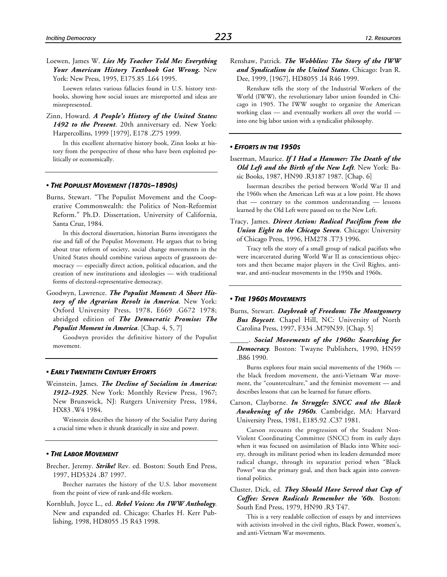Loewen, James W. *Lies My Teacher Told Me: Everything Your American History Textbook Got Wrong.* New York: New Press, 1995, E175.85 .L64 1995.

Loewen relates various fallacies found in U.S. history textbooks, showing how social issues are misreported and ideas are misrepresented.

Zinn, Howard. *A People's History of the United States: 1492 to the Present*. 20th anniversary ed. New York: Harpercollins, 1999 [1979], E178 .Z75 1999.

In this excellent alternative history book, Zinn looks at history from the perspective of those who have been exploited politically or economically.

#### *• THE POPULIST MOVEMENT (1870S–1890S)*

Burns, Stewart. "The Populist Movement and the Cooperative Commonwealth: the Politics of Non-Reformist Reform." Ph.D. Dissertation, University of California, Santa Cruz, 1984.

In this doctoral dissertation, historian Burns investigates the rise and fall of the Populist Movement. He argues that to bring about true reform of society, social change movements in the United States should combine various aspects of grassroots democracy — especially direct action, political education, and the creation of new institutions and ideologies — with traditional forms of electoral-representative democracy.

Goodwyn, Lawrence. *The Populist Moment: A Short History of the Agrarian Revolt in America*. New York: Oxford University Press, 1978, E669 .G672 1978; abridged edition of *The Democratic Promise: The Populist Moment in America*. [Chap. 4, 5, 7]

Goodwyn provides the definitive history of the Populist movement.

#### *• EARLY TWENTIETH CENTURY EFFORTS*

Weinstein, James. *The Decline of Socialism in America: 1912–1925*. New York: Monthly Review Press, 1967; New Brunswick, NJ: Rutgers University Press, 1984, HX83 .W4 1984.

Weinstein describes the history of the Socialist Party during a crucial time when it shrank drastically in size and power.

#### *• THE LABOR MOVEMENT*

Brecher, Jeremy. *Strike!* Rev. ed. Boston: South End Press, 1997, HD5324 .B7 1997.

Brecher narrates the history of the U.S. labor movement from the point of view of rank-and-file workers.

Kornbluh, Joyce L., ed. *Rebel Voices: An IWW Anthology*. New and expanded ed. Chicago: Charles H. Kerr Publishing, 1998, HD8055 .I5 R43 1998.

Renshaw, Patrick. *The Wobblies: The Story of the IWW and Syndicalism in the United States*. Chicago: Ivan R. Dee, 1999, [1967], HD8055 .I4 R46 1999.

Renshaw tells the story of the Industrial Workers of the World (IWW), the revolutionary labor union founded in Chicago in 1905. The IWW sought to organize the American working class — and eventually workers all over the world into one big labor union with a syndicalist philosophy.

#### *• EFFORTS IN THE 1950S*

Isserman, Maurice. *If I Had a Hammer: The Death of the Old Left and the Birth of the New Left*. New York: Basic Books, 1987, HN90 .R3187 1987. [Chap. 6]

Isserman describes the period between World War II and the 1960s when the American Left was at a low point. He shows that — contrary to the common understanding — lessons learned by the Old Left were passed on to the New Left.

Tracy, James. *Direct Action: Radical Pacifism from the Union Eight to the Chicago Seven*. Chicago: University of Chicago Press, 1996, HM278 .T73 1996.

Tracy tells the story of a small group of radical pacifists who were incarcerated during World War II as conscientious objectors and then became major players in the Civil Rights, antiwar, and anti-nuclear movements in the 1950s and 1960s.

#### *• THE 1960S MOVEMENTS*

Burns, Stewart. *Daybreak of Freedom: The Montgomery Bus Boycott*. Chapel Hill, NC: University of North Carolina Press, 1997, F334 .M79N39. [Chap. 5]

\_\_\_\_\_. *Social Movements of the 1960s: Searching for Democracy*. Boston: Twayne Publishers, 1990, HN59 .B86 1990.

Burns explores four main social movements of the 1960s the black freedom movement, the anti-Vietnam War movement, the "counterculture," and the feminist movement — and describes lessons that can be learned for future efforts.

Carson, Clayborne. *In Struggle: SNCC and the Black Awakening of the 1960s*. Cambridge, MA: Harvard University Press, 1981, E185.92 .C37 1981.

Carson recounts the progression of the Student Non-Violent Coordinating Committee (SNCC) from its early days when it was focused on assimilation of Blacks into White society, through its militant period when its leaders demanded more radical change, through its separatist period when "Black Power" was the primary goal, and then back again into conventional politics.

Cluster, Dick, ed. *They Should Have Served that Cup of Coffee: Seven Radicals Remember the '60s*. Boston: South End Press, 1979, HN90 .R3 T47.

This is a very readable collection of essays by and interviews with activists involved in the civil rights, Black Power, women's, and anti-Vietnam War movements.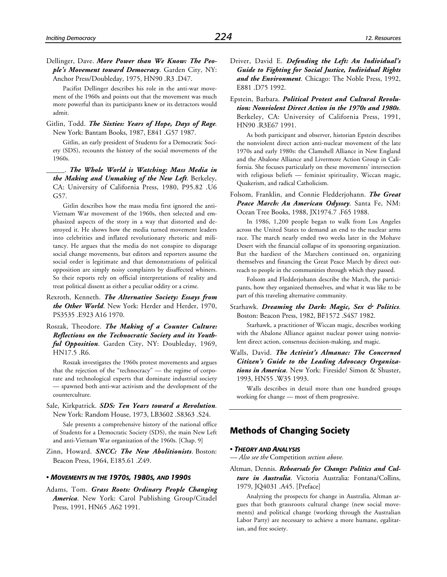Pacifist Dellinger describes his role in the anti-war movement of the 1960s and points out that the movement was much more powerful than its participants knew or its detractors would admit.

Gitlin, Todd. *The Sixties: Years of Hope, Days of Rage*. New York: Bantam Books, 1987, E841 .G57 1987.

Gitlin, an early president of Students for a Democratic Society (SDS), recounts the history of the social movements of the 1960s.

\_\_\_\_\_. *The Whole World is Watching: Mass Media in the Making and Unmaking of the New Left*. Berkeley, CA: University of California Press, 1980, P95.82 .U6 G57.

Gitlin describes how the mass media first ignored the anti-Vietnam War movement of the 1960s, then selected and emphasized aspects of the story in a way that distorted and destroyed it. He shows how the media turned movement leaders into celebrities and inflated revolutionary rhetoric and militancy. He argues that the media do not conspire to disparage social change movements, but editors and reporters assume the social order is legitimate and that demonstrations of political opposition are simply noisy complaints by disaffected whiners. So their reports rely on official interpretations of reality and treat political dissent as either a peculiar oddity or a crime.

- Rexroth, Kenneth. *The Alternative Society: Essays from the Other World*. New York: Herder and Herder, 1970, PS3535 .E923 A16 1970.
- Roszak, Theodore. *The Making of a Counter Culture: Reflections on the Technocratic Society and its Youthful Opposition*. Garden City, NY: Doubleday, 1969, HN17.5 .R6.

Roszak investigates the 1960s protest movements and argues that the rejection of the "technocracy" — the regime of corporate and technological experts that dominate industrial society — spawned both anti-war activism and the development of the counterculture.

Sale, Kirkpatrick. *SDS: Ten Years toward a Revolution*. New York: Random House, 1973, LB3602 .S8363 .S24.

Sale presents a comprehensive history of the national office of Students for a Democratic Society (SDS), the main New Left and anti-Vietnam War organization of the 1960s. [Chap. 9]

Zinn, Howard. *SNCC: The New Abolitionists*. Boston: Beacon Press, 1964, E185.61 .Z49.

#### *• MOVEMENTS IN THE 1970S, 1980S, AND 1990S*

Adams, Tom. *Grass Roots: Ordinary People Changing America*. New York: Carol Publishing Group/Citadel Press, 1991, HN65 .A62 1991.

- Driver, David E. *Defending the Left: An Individual's Guide to Fighting for Social Justice, Individual Rights and the Environment*. Chicago: The Noble Press, 1992, E881 .D75 1992.
- Epstein, Barbara. *Political Protest and Cultural Revolution: Nonviolent Direct Action in the 1970s and 1980s*. Berkeley, CA: University of California Press, 1991, HN90 .R3E67 1991.

As both participant and observer, historian Epstein describes the nonviolent direct action anti-nuclear movement of the late 1970s and early 1980s: the Clamshell Alliance in New England and the Abalone Alliance and Livermore Action Group in California. She focuses particularly on these movements' intersection with religious beliefs — feminist spirituality, Wiccan magic, Quakerism, and radical Catholicism.

Folsom, Franklin, and Connie Fledderjohann. *The Great Peace March: An American Odyssey*. Santa Fe, NM: Ocean Tree Books, 1988, JX1974.7 .F65 1988.

In 1986, 1,200 people began to walk from Los Angeles across the United States to demand an end to the nuclear arms race. The march nearly ended two weeks later in the Mohave Desert with the financial collapse of its sponsoring organization. But the hardiest of the Marchers continued on, organizing themselves and financing the Great Peace March by direct outreach to people in the communities through which they passed.

Folsom and Fledderjohann describe the March, the participants, how they organized themselves, and what it was like to be part of this traveling alternative community.

Starhawk. *Dreaming the Dark: Magic, Sex & Politics*. Boston: Beacon Press, 1982, BF1572 .S4S7 1982.

Starhawk, a practitioner of Wiccan magic, describes working with the Abalone Alliance against nuclear power using nonviolent direct action, consensus decision-making, and magic.

Walls, David. *The Activist's Almanac: The Concerned Citizen's Guide to the Leading Advocacy Organizations in America*. New York: Fireside/ Simon & Shuster, 1993, HN55 .W35 1993.

Walls describes in detail more than one hundred groups working for change — most of them progressive.

# **Methods of Changing Society**

#### *• THEORY AND ANALYSIS*

*— Also see the* Competition *section above.*

Altman, Dennis. *Rehearsals for Change: Politics and Culture in Australia*. Victoria Australia: Fontana/Collins, 1979, JQ4031 .A45. [Preface]

Analyzing the prospects for change in Australia, Altman argues that both grassroots cultural change (new social movements) and political change (working through the Australian Labor Party) are necessary to achieve a more humane, egalitarian, and free society.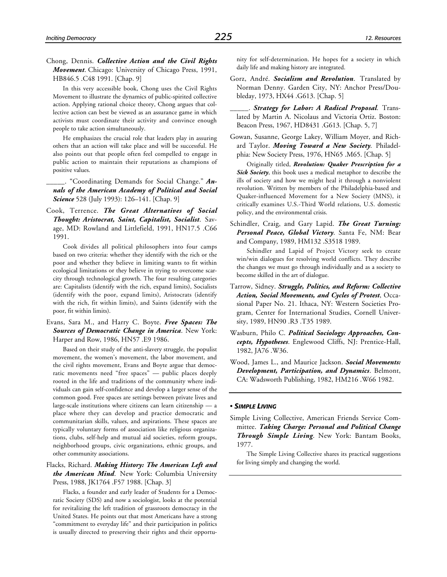Chong, Dennis. *Collective Action and the Civil Rights Movement*. Chicago: University of Chicago Press, 1991, HB846.5 .C48 1991. [Chap. 9]

In this very accessible book, Chong uses the Civil Rights Movement to illustrate the dynamics of public-spirited collective action. Applying rational choice theory, Chong argues that collective action can best be viewed as an assurance game in which activists must coordinate their activity and convince enough people to take action simultaneously.

He emphasizes the crucial role that leaders play in assuring others that an action will take place and will be successful. He also points out that people often feel compelled to engage in public action to maintain their reputations as champions of positive values.

. "Coordinating Demands for Social Change." *Annals of the American Academy of Political and Social Science* 528 (July 1993): 126–141. [Chap. 9]

Cook, Terrence. *The Great Alternatives of Social Thought: Aristocrat, Saint, Capitalist, Socialist*. Savage, MD: Rowland and Littlefield, 1991, HN17.5 .C66 1991.

Cook divides all political philosophers into four camps based on two criteria: whether they identify with the rich or the poor and whether they believe in limiting wants to fit within ecological limitations or they believe in trying to overcome scarcity through technological growth. The four resulting categories are: Capitalists (identify with the rich, expand limits), Socialists (identify with the poor, expand limits), Aristocrats (identify with the rich, fit within limits), and Saints (identify with the poor, fit within limits).

Evans, Sara M., and Harry C. Boyte. *Free Spaces: The Sources of Democratic Change in America*. New York: Harper and Row, 1986, HN57 .E9 1986.

Based on their study of the anti-slavery struggle, the populist movement, the women's movement, the labor movement, and the civil rights movement, Evans and Boyte argue that democratic movements need "free spaces" — public places deeply rooted in the life and traditions of the community where individuals can gain self-confidence and develop a larger sense of the common good. Free spaces are settings between private lives and large-scale institutions where citizens can learn citizenship — a place where they can develop and practice democratic and communitarian skills, values, and aspirations. These spaces are typically voluntary forms of association like religious organizations, clubs, self-help and mutual aid societies, reform groups, neighborhood groups, civic organizations, ethnic groups, and other community associations.

Flacks, Richard. *Making History: The American Left and the American Mind*. New York: Columbia University Press, 1988, JK1764 .F57 1988. [Chap. 3]

Flacks, a founder and early leader of Students for a Democratic Society (SDS) and now a sociologist, looks at the potential for revitalizing the left tradition of grassroots democracy in the United States. He points out that most Americans have a strong "commitment to everyday life" and their participation in politics is usually directed to preserving their rights and their opportunity for self-determination. He hopes for a society in which daily life and making history are integrated.

Gorz, André. *Socialism and Revolution*. Translated by Norman Denny. Garden City, NY: Anchor Press/Doubleday, 1973, HX44 .G613. [Chap. 5]

\_\_\_\_\_. *Strategy for Labor: A Radical Proposal*. Translated by Martin A. Nicolaus and Victoria Ortiz. Boston: Beacon Press, 1967, HD8431 .G613. [Chap. 5, 7]

Gowan, Susanne, George Lakey, William Moyer, and Richard Taylor. *Moving Toward a New Society*. Philadelphia: New Society Press, 1976, HN65 .M65. [Chap. 5]

Originally titled, *Revolution: Quaker Prescription for a Sick Society*, this book uses a medical metaphor to describe the ills of society and how we might heal it through a nonviolent revolution. Written by members of the Philadelphia-based and Quaker-influenced Movement for a New Society (MNS), it critically examines U.S.-Third World relations, U.S. domestic policy, and the environmental crisis.

Schindler, Craig, and Gary Lapid. *The Great Turning: Personal Peace, Global Victory*. Santa Fe, NM: Bear and Company, 1989, HM132 .S3518 1989.

Schindler and Lapid of Project Victory seek to create win/win dialogues for resolving world conflicts. They describe the changes we must go through individually and as a society to become skilled in the art of dialogue.

- Tarrow, Sidney. *Struggle, Politics, and Reform: Collective Action, Social Movements, and Cycles of Protest*, Occasional Paper No. 21. Ithaca, NY: Western Societies Program, Center for International Studies, Cornell University, 1989, HN90 .R3 .T35 1989.
- Wasburn, Philo C. *Political Sociology: Approaches, Concepts, Hypotheses*. Englewood Cliffs, NJ: Prentice-Hall, 1982, JA76 .W36.
- Wood, James L., and Maurice Jackson. *Social Movements: Development, Participation, and Dynamics*. Belmont, CA: Wadsworth Publishing, 1982, HM216 .W66 1982.

#### *• SIMPLE LIVING*

Simple Living Collective, American Friends Service Committee. *Taking Charge: Personal and Political Change Through Simple Living*. New York: Bantam Books, 1977.

The Simple Living Collective shares its practical suggestions for living simply and changing the world.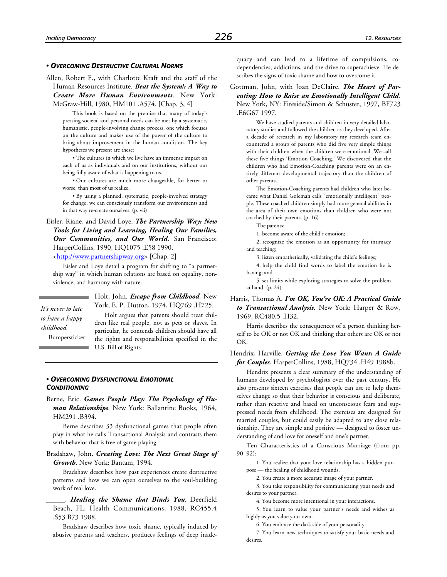#### *• OVERCOMING DESTRUCTIVE CULTURAL NORMS*

Allen, Robert F., with Charlotte Kraft and the staff of the Human Resources Institute. *Beat the System!: A Way to Create More Human Environments*. New York: McGraw-Hill, 1980, HM101 .A574. [Chap. 3, 4]

This book is based on the premise that many of today's pressing societal and personal needs can be met by a systematic, humanistic, people-involving change process, one which focuses on the culture and makes use of the power of the culture to bring about improvement in the human condition. The key hypotheses we present are these:

• The cultures in which we live have an immense impact on each of us as individuals and on our institutions, without our being fully aware of what is happening to us.

• Our cultures are much more changeable, for better or worse, than most of us realize.

• By using a planned, systematic, people-involved strategy for change, we can consciously transform our environments and in that way re-create ourselves. (p. vii)

Eisler, Riane, and David Loye. *The Partnership Way: New Tools for Living and Learning, Healing Our Families, Our Communities, and Our World*. San Francisco: HarperCollins, 1990, HQ1075 .E58 1990.

[<http://www.partnershipway.org>](http://www.partnershipway.org) [Chap. 2]

Eisler and Loye detail a program for shifting to "a partnership way" in which human relations are based on equality, nonviolence, and harmony with nature.

*It's never to late to have a happy childhood.* — Bumpersticker Holt, John. *Escape from Childhood*. New York, E. P. Dutton, 1974, HQ769 .H725.

Holt argues that parents should treat children like real people, not as pets or slaves. In particular, he contends children should have all the rights and responsibilities specified in the U.S. Bill of Rights.

#### *• OVERCOMING DYSFUNCTIONAL EMOTIONAL CONDITIONING*

Berne, Eric. *Games People Play: The Psychology of Human Relationships*. New York: Ballantine Books, 1964, HM291 .B394.

Berne describes 33 dysfunctional games that people often play in what he calls Transactional Analysis and contrasts them with behavior that is free of game playing.

Bradshaw, John. *Creating Love: The Next Great Stage of Growth*. New York: Bantam, 1994.

Bradshaw describes how past experiences create destructive patterns and how we can open ourselves to the soul-building work of real love.

\_\_\_\_\_. *Healing the Shame that Binds You*. Deerfield Beach, FL: Health Communications, 1988, RC455.4 .S53 B73 1988.

Bradshaw describes how toxic shame, typically induced by abusive parents and teachers, produces feelings of deep inadequacy and can lead to a lifetime of compulsions, codependencies, addictions, and the drive to superachieve. He describes the signs of toxic shame and how to overcome it.

#### Gottman, John, with Joan DeClaire. *The Heart of Parenting: How to Raise an Emotionally Intelligent Child*. New York, NY: Fireside/Simon & Schuster, 1997, BF723 .E6G67 1997.

We have studied parents and children in very detailed laboratory studies and followed the children as they developed. After a decade of research in my laboratory my research team encountered a group of parents who did five very simple things with their children when the children were emotional. We call these five things 'Emotion Coaching.' We discovered that the children who had Emotion-Coaching parents were on an entirely different developmental trajectory than the children of other parents.

The Emotion-Coaching parents had children who later became what Daniel Goleman calls "emotionally intelligent" people. These coached children simply had more general abilities in the area of their own emotions than children who were not coached by their parents. (p. 16)

The parents:

1. become aware of the child's emotion;

2. recognize the emotion as an opportunity for intimacy and teaching;

3. listen empathetically, validating the child's feelings;

4. help the child find words to label the emotion he is having; and

5. set limits while exploring strategies to solve the problem at hand. (p. 24)

Harris, Thomas A. *I'm OK, You're OK: A Practical Guide to Transactional Analysis*. New York: Harper & Row, 1969, RC480.5 .H32.

Harris describes the consequences of a person thinking herself to be OK or not OK and thinking that others are OK or not OK.

#### Hendrix, Harville. *Getting the Love You Want: A Guide for Couples*. HarperCollins, 1988, HQ734 .H49 1988b.

Hendrix presents a clear summary of the understanding of humans developed by psychologists over the past century. He also presents sixteen exercises that people can use to help themselves change so that their behavior is conscious and deliberate, rather than reactive and based on unconscious fears and suppressed needs from childhood. The exercises are designed for married couples, but could easily be adapted to any close relationship. They are simple and positive — designed to foster understanding of and love for oneself and one's partner.

Ten Characteristics of a Conscious Marriage (from pp. 90–92):

1. You realize that your love relationship has a hidden purpose — the healing of childhood wounds.

2. You create a more accurate image of your partner.

3. You take responsibility for communicating your needs and desires to your partner.

4. You become more intentional in your interactions.

5. You learn to value your partner's needs and wishes as highly as you value your own.

6. You embrace the dark side of your personality.

7. You learn new techniques to satisfy your basic needs and desires.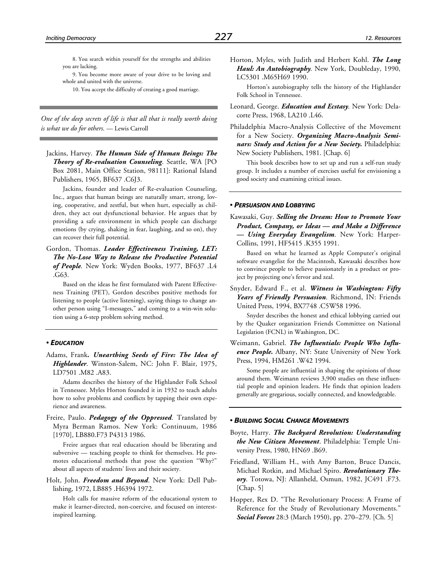8. You search within yourself for the strengths and abilities you are lacking.

9. You become more aware of your drive to be loving and whole and united with the universe.

10. You accept the difficulty of creating a good marriage.

*One of the deep secrets of life is that all that is really worth doing is what we do for others.* — Lewis Carroll

Jackins, Harvey. *The Human Side of Human Beings: The Theory of Re-evaluation Counseling*. Seattle, WA [PO Box 2081, Main Office Station, 98111]: Rational Island Publishers, 1965, BF637 .C6J3.

Jackins, founder and leader of Re-evaluation Counseling, Inc., argues that human beings are naturally smart, strong, loving, cooperative, and zestful, but when hurt, especially as children, they act out dysfunctional behavior. He argues that by providing a safe environment in which people can discharge emotions (by crying, shaking in fear, laughing, and so on), they can recover their full potential.

Gordon, Thomas. *Leader Effectiveness Training, LET: The No-Lose Way to Release the Productive Potential of People*. New York: Wyden Books, 1977, BF637 .L4 .G63.

Based on the ideas he first formulated with Parent Effectiveness Training (PET), Gordon describes positive methods for listening to people (active listening), saying things to change another person using "I-messages," and coming to a win-win solution using a 6-step problem solving method.

#### *• EDUCATION*

Adams, Frank*. Unearthing Seeds of Fire: The Idea of Highlander*. Winston-Salem, NC: John F. Blair, 1975, LD7501 .M82 .A83.

Adams describes the history of the Highlander Folk School in Tennessee. Myles Horton founded it in 1932 to teach adults how to solve problems and conflicts by tapping their own experience and awareness.

Freire, Paulo. *Pedagogy of the Oppressed*. Translated by Myra Berman Ramos. New York: Continuum, 1986 [1970], LB880.F73 P4313 1986.

Freire argues that real education should be liberating and subversive — teaching people to think for themselves. He promotes educational methods that pose the question "Why?" about all aspects of students' lives and their society.

Holt, John. *Freedom and Beyond*. New York: Dell Publishing, 1972, LB885 .H6394 1972.

Holt calls for massive reform of the educational system to make it learner-directed, non-coercive, and focused on interestinspired learning.

Horton, Myles, with Judith and Herbert Kohl. *The Long Haul: An Autobiography*. New York, Doubleday, 1990, LC5301 .M65H69 1990.

Horton's autobiography tells the history of the Highlander Folk School in Tennessee.

- Leonard, George. *Education and Ecstasy*. New York: Delacorte Press, 1968, LA210 .L46.
- Philadelphia Macro-Analysis Collective of the Movement for a New Society. *Organizing Macro-Analysis Seminars: Study and Action for a New Society.* Philadelphia: New Society Publishers, 1981. [Chap. 6]

This book describes how to set up and run a self-run study group. It includes a number of exercises useful for envisioning a good society and examining critical issues.

#### *• PERSUASION AND LOBBYING*

Kawasaki, Guy. *Selling the Dream: How to Promote Your Product, Company, or Ideas — and Make a Difference — Using Everyday Evangelism*. New York: Harper-Collins, 1991, HF5415 .K355 1991.

Based on what he learned as Apple Computer's original software evangelist for the Macintosh, Kawasaki describes how to convince people to believe passionately in a product or project by projecting one's fervor and zeal.

Snyder, Edward F., et al. *Witness in Washington: Fifty Years of Friendly Persuasion*. Richmond, IN: Friends United Press, 1994, BX7748 .C5W58 1996.

Snyder describes the honest and ethical lobbying carried out by the Quaker organization Friends Committee on National Legislation (FCNL) in Washington, DC.

Weimann, Gabriel. *The Influentials: People Who Influence People.* Albany, NY: State University of New York Press, 1994, HM261 .W42 1994.

Some people are influential in shaping the opinions of those around them. Weimann reviews 3,900 studies on these influential people and opinion leaders. He finds that opinion leaders generally are gregarious, socially connected, and knowledgeable.

#### *• BUILDING SOCIAL CHANGE MOVEMENTS*

- Boyte, Harry. *The Backyard Revolution: Understanding the New Citizen Movement*. Philadelphia: Temple University Press, 1980, HN69 .B69.
- Friedland, William H., with Amy Barton, Bruce Dancis, Michael Rotkin, and Michael Spiro. *Revolutionary Theory*. Totowa, NJ: Allanheld, Osmun, 1982, JC491 .F73. [Chap. 5]

Hopper, Rex D. "The Revolutionary Process: A Frame of Reference for the Study of Revolutionary Movements." *Social Forces* 28:3 (March 1950), pp. 270–279. [Ch. 5]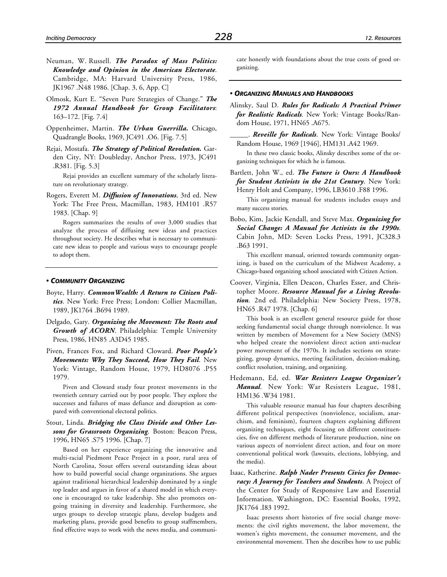- Neuman, W. Russell. *The Paradox of Mass Politics: Knowledge and Opinion in the American Electorate*. Cambridge, MA: Harvard University Press, 1986, JK1967 .N48 1986. [Chap. 3, 6, App. C]
- Olmosk, Kurt E. "Seven Pure Strategies of Change." *The 1972 Annual Handbook for Group Facilitators*: 163–172. [Fig. 7.4]
- Oppenheimer, Martin. *The Urban Guerrilla.* Chicago, Quadrangle Books, 1969, JC491 .O6. [Fig. 7.5]
- Rejai, Mostafa. *The Strategy of Political Revolution.* Garden City, NY: Doubleday, Anchor Press, 1973, JC491 .R381. [Fig. 5.3]
	- Rejai provides an excellent summary of the scholarly literature on revolutionary strategy.
- Rogers, Everett M. *Diffusion of Innovations*, 3rd ed. New York: The Free Press, Macmillan, 1983, HM101 .R57 1983. [Chap. 9]

Rogers summarizes the results of over 3,000 studies that analyze the process of diffusing new ideas and practices throughout society. He describes what is necessary to communicate new ideas to people and various ways to encourage people to adopt them.

#### *• COMMUNITY ORGANIZING*

- Boyte, Harry. *CommonWealth: A Return to Citizen Politics*. New York: Free Press; London: Collier Macmillan, 1989, JK1764 .B694 1989.
- Delgado, Gary. *Organizing the Movement: The Roots and Growth of ACORN*. Philadelphia: Temple University Press, 1986, HN85 .A3D45 1985.
- Piven, Frances Fox, and Richard Cloward. *Poor People's Movements: Why They Succeed, How They Fail*. New York: Vintage, Random House, 1979, HD8076 .P55 1979.

Piven and Cloward study four protest movements in the twentieth century carried out by poor people. They explore the successes and failures of mass defiance and disruption as compared with conventional electoral politics.

#### Stout, Linda. *Bridging the Class Divide and Other Lessons for Grassroots Organizing*. Boston: Beacon Press, 1996, HN65 .S75 1996. [Chap. 7]

Based on her experience organizing the innovative and multi-racial Piedmont Peace Project in a poor, rural area of North Carolina, Stout offers several outstanding ideas about how to build powerful social change organizations. She argues against traditional hierarchical leadership dominated by a single top leader and argues in favor of a shared model in which everyone is encouraged to take leadership. She also promotes ongoing training in diversity and leadership. Furthermore, she urges groups to develop strategic plans, develop budgets and marketing plans, provide good benefits to group staffmembers, find effective ways to work with the news media, and communicate honestly with foundations about the true costs of good organizing.

#### *• ORGANIZING MANUALS AND HANDBOOKS*

- Alinsky, Saul D. *Rules for Radicals: A Practical Primer for Realistic Radicals*. New York: Vintage Books/Random House, 1971, HN65 .A675.
- \_\_\_\_\_. *Reveille for Radicals*. New York: Vintage Books/ Random House, 1969 [1946], HM131.A42 1969.

In these two classic books, Alinsky describes some of the organizing techniques for which he is famous.

Bartlett, John W., ed. *The Future is Ours: A Handbook for Student Activists in the 21st Century*. New York: Henry Holt and Company, 1996, LB3610 .F88 1996.

This organizing manual for students includes essays and many success stories.

Bobo, Kim, Jackie Kendall, and Steve Max. *Organizing for Social Change: A Manual for Activists in the 1990s*. Cabin John, MD: Seven Locks Press, 1991, JC328.3 .B63 1991.

This excellent manual, oriented towards community organizing, is based on the curriculum of the Midwest Academy, a Chicago-based organizing school associated with Citizen Action.

Coover, Virginia, Ellen Deacon, Charles Esser, and Christopher Moore. *Resource Manual for a Living Revolution*. 2nd ed. Philadelphia: New Society Press, 1978, HN65 .R47 1978. [Chap. 6]

This book is an excellent general resource guide for those seeking fundamental social change through nonviolence. It was written by members of Movement for a New Society (MNS) who helped create the nonviolent direct action anti-nuclear power movement of the 1970s. It includes sections on strategizing, group dynamics, meeting facilitation, decision-making, conflict resolution, training, and organizing.

Hedemann, Ed, ed. *War Resisters League Organizer's Manual*. New York: War Resisters League, 1981, HM136 .W34 1981.

This valuable resource manual has four chapters describing different political perspectives (nonviolence, socialism, anarchism, and feminism), fourteen chapters explaining different organizing techniques, eight focusing on different constituencies, five on different methods of literature production, nine on various aspects of nonviolent direct action, and four on more conventional political work (lawsuits, elections, lobbying, and the media).

Isaac, Katherine. *Ralph Nader Presents Civics for Democracy: A Journey for Teachers and Students*. A Project of the Center for Study of Responsive Law and Essential Information. Washington, DC: Essential Books, 1992, JK1764 .I83 1992.

Isaac presents short histories of five social change movements: the civil rights movement, the labor movement, the women's rights movement, the consumer movement, and the environmental movement. Then she describes how to use public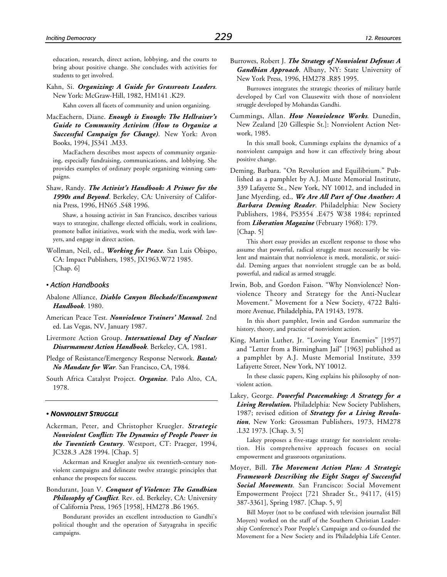education, research, direct action, lobbying, and the courts to bring about positive change. She concludes with activities for students to get involved.

Kahn, Si. *Organizing: A Guide for Grassroots Leaders*. New York: McGraw-Hill, 1982, HM141 .K29.

Kahn covers all facets of community and union organizing.

MacEachern, Diane. *Enough is Enough: The Hellraiser's Guide to Community Activism (How to Organize a Successful Campaign for Change)*. New York: Avon Books, 1994, JS341 .M33.

MacEachern describes most aspects of community organizing, especially fundraising, communications, and lobbying. She provides examples of ordinary people organizing winning campaigns.

Shaw, Randy. *The Activist's Handbook: A Primer for the 1990s and Beyond*. Berkeley, CA: University of California Press, 1996, HN65 .S48 1996.

Shaw, a housing activist in San Francisco, describes various ways to strategize, challenge elected officials, work in coalitions, promote ballot initiatives, work with the media, work with lawyers, and engage in direct action.

Wollman, Neil, ed., *Working for Peace*. San Luis Obispo, CA: Impact Publishers, 1985, JX1963.W72 1985. [Chap. 6]

#### *• Action Handbooks*

- Abalone Alliance, *Diablo Canyon Blockade/Encampment Handbook*. 1980.
- American Peace Test. *Nonviolence Trainers' Manual*. 2nd ed. Las Vegas, NV, January 1987.

Livermore Action Group. *International Day of Nuclear Disarmament Action Handbook*. Berkeley, CA, 1981.

- Pledge of Resistance/Emergency Response Network. *Basta!: No Mandate for War*. San Francisco, CA, 1984.
- South Africa Catalyst Project. *Organize*. Palo Alto, CA, 1978.

#### *• NONVIOLENT STRUGGLE*

Ackerman, Peter, and Christopher Kruegler. *Strategic Nonviolent Conflict: The Dynamics of People Power in the Twentieth Century*. Westport, CT: Praeger, 1994, JC328.3 .A28 1994. [Chap. 5]

Ackerman and Kruegler analyze six twentieth-century nonviolent campaigns and delineate twelve strategic principles that enhance the prospects for success.

Bondurant, Joan V. *Conquest of Violence: The Gandhian Philosophy of Conflict*. Rev. ed. Berkeley, CA: University of California Press, 1965 [1958], HM278 .B6 1965.

Bondurant provides an excellent introduction to Gandhi's political thought and the operation of Satyagraha in specific campaigns.

Burrowes, Robert J. *The Strategy of Nonviolent Defense: A Gandhian Approach*. Albany, NY: State University of New York Press, 1996, HM278 .R85 1995.

Burrowes integrates the strategic theories of military battle developed by Carl von Clausewitz with those of nonviolent struggle developed by Mohandas Gandhi.

Cummings, Allan. *How Nonviolence Works*. Dunedin, New Zealand [20 Gillespie St.]: Nonviolent Action Network, 1985.

In this small book, Cummings explains the dynamics of a nonviolent campaign and how it can effectively bring about positive change.

Deming, Barbara. "On Revolution and Equilibrium." Published as a pamphlet by A.J. Muste Memorial Institute, 339 Lafayette St., New York, NY 10012, and included in Jane Myerding, ed., *We Are All Part of One Another: A Barbara Deming Reader*. Philadelphia: New Society Publishers, 1984, PS3554 .E475 W38 1984; reprinted from *Liberation Magazine* (February 1968): 179. [Chap. 5]

This short essay provides an excellent response to those who assume that powerful, radical struggle must necessarily be violent and maintain that nonviolence is meek, moralistic, or suicidal. Deming argues that nonviolent struggle can be as bold, powerful, and radical as armed struggle.

Irwin, Bob, and Gordon Faison. "Why Nonviolence? Nonviolence Theory and Strategy for the Anti-Nuclear Movement." Movement for a New Society, 4722 Baltimore Avenue, Philadelphia, PA 19143, 1978.

In this short pamphlet, Irwin and Gordon summarize the history, theory, and practice of nonviolent action.

King, Martin Luther, Jr. "Loving Your Enemies" [1957] and "Letter from a Birmingham Jail" [1963] published as a pamphlet by A.J. Muste Memorial Institute, 339 Lafayette Street, New York, NY 10012.

In these classic papers, King explains his philosophy of nonviolent action.

Lakey, George. *Powerful Peacemaking: A Strategy for a Living Revolution.* Philadelphia: New Society Publishers, 1987; revised edition of *Strategy for a Living Revolution*, New York: Grossman Publishers, 1973, HM278 .L32 1973. [Chap. 3, 5]

Lakey proposes a five-stage strategy for nonviolent revolution. His comprehensive approach focuses on social empowerment and grassroots organizations.

Moyer, Bill. *The Movement Action Plan: A Strategic Framework Describing the Eight Stages of Successful Social Movements*. San Francisco: Social Movement Empowerment Project [721 Shrader St., 94117, (415) 387-3361], Spring 1987. [Chap. 5, 9]

Bill Moyer (not to be confused with television journalist Bill Moyers) worked on the staff of the Southern Christian Leadership Conference's Poor People's Campaign and co-founded the Movement for a New Society and its Philadelphia Life Center.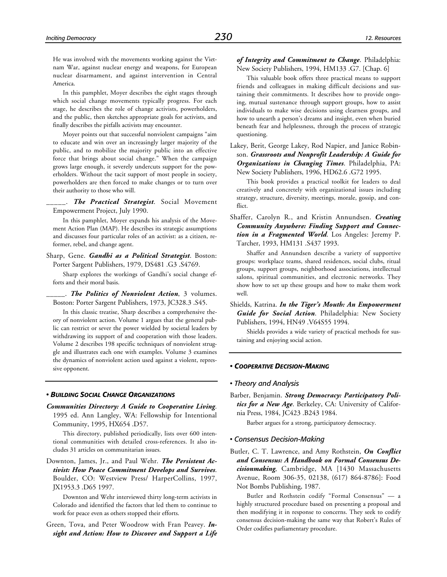He was involved with the movements working against the Vietnam War, against nuclear energy and weapons, for European nuclear disarmament, and against intervention in Central America.

In this pamphlet, Moyer describes the eight stages through which social change movements typically progress. For each stage, he describes the role of change activists, powerholders, and the public, then sketches appropriate goals for activists, and finally describes the pitfalls activists may encounter.

Moyer points out that successful nonviolent campaigns "aim to educate and win over an increasingly larger majority of the public, and to mobilize the majority public into an effective force that brings about social change." When the campaign grows large enough, it severely undercuts support for the powerholders. Without the tacit support of most people in society, powerholders are then forced to make changes or to turn over their authority to those who will.

\_\_\_\_\_. *The Practical Strategist*. Social Movement Empowerment Project, July 1990.

In this pamphlet, Moyer expands his analysis of the Movement Action Plan (MAP). He describes its strategic assumptions and discusses four particular roles of an activist: as a citizen, reformer, rebel, and change agent.

Sharp, Gene. *Gandhi as a Political Strategist*. Boston: Porter Sargent Publishers, 1979, DS481 .G3 .S4769.

Sharp explores the workings of Gandhi's social change efforts and their moral basis.

\_\_\_\_\_. *The Politics of Nonviolent Action*, 3 volumes. Boston: Porter Sargent Publishers, 1973, JC328.3 .S45.

In this classic treatise, Sharp describes a comprehensive theory of nonviolent action. Volume 1 argues that the general public can restrict or sever the power wielded by societal leaders by withdrawing its support of and cooperation with those leaders. Volume 2 describes 198 specific techniques of nonviolent struggle and illustrates each one with examples. Volume 3 examines the dynamics of nonviolent action used against a violent, repressive opponent.

#### *• BUILDING SOCIAL CHANGE ORGANIZATIONS*

*Communities Directory: A Guide to Cooperative Living*. 1995 ed. Ann Langley, WA: Fellowship for Intentional Community, 1995, HX654 .D57.

This directory, published periodically, lists over 600 intentional communities with detailed cross-references. It also includes 31 articles on communitarian issues.

Downton, James, Jr., and Paul Wehr. *The Persistent Activist: How Peace Commitment Develops and Survives*. Boulder, CO: Westview Press/ HarperCollins, 1997, JX1953.3 .D65 1997.

Downton and Wehr interviewed thirty long-term activists in Colorado and identified the factors that led them to continue to work for peace even as others stopped their efforts.

Green, Tova, and Peter Woodrow with Fran Peavey. *Insight and Action: How to Discover and Support a Life* *of Integrity and Commitment to Change*. Philadelphia: New Society Publishers, 1994, HM133 .G7. [Chap. 6]

This valuable book offers three practical means to support friends and colleagues in making difficult decisions and sustaining their commitments. It describes how to provide ongoing, mutual sustenance through support groups, how to assist individuals to make wise decisions using clearness groups, and how to unearth a person's dreams and insight, even when buried beneath fear and helplessness, through the process of strategic questioning.

Lakey, Berit, George Lakey, Rod Napier, and Janice Robinson. *Grassroots and Nonprofit Leadership: A Guide for Organizations in Changing Times*. Philadelphia, PA: New Society Publishers, 1996, HD62.6 .G72 1995.

This book provides a practical toolkit for leaders to deal creatively and concretely with organizational issues including strategy, structure, diversity, meetings, morale, gossip, and conflict.

Shaffer, Carolyn R., and Kristin Annundsen. *Creating Community Anywhere: Finding Support and Connection in a Fragmented World*. Los Angeles: Jeremy P. Tarcher, 1993, HM131 .S437 1993.

Shaffer and Annundsen describe a variety of supportive groups: workplace teams, shared residences, social clubs, ritual groups, support groups, neighborhood associations, intellectual salons, spiritual communities, and electronic networks. They show how to set up these groups and how to make them work well.

Shields, Katrina. *In the Tiger's Mouth: An Empowerment Guide for Social Action*. Philadelphia: New Society Publishers, 1994, HN49 .V64S55 1994.

Shields provides a wide variety of practical methods for sustaining and enjoying social action.

#### *• COOPERATIVE DECISION-MAKING*

#### *• Theory and Analysis*

Barber, Benjamin. *Strong Democracy: Participatory Politics for a New Age*. Berkeley, CA: University of California Press, 1984, JC423 .B243 1984.

Barber argues for a strong, participatory democracy.

#### *• Consensus Decision-Making*

Butler, C. T. Lawrence, and Amy Rothstein, *On Conflict and Consensus: A Handbook on Formal Consensus Decisionmaking*, Cambridge, MA [1430 Massachusetts Avenue, Room 306-35, 02138, (617) 864-8786]: Food Not Bombs Publishing, 1987.

Butler and Rothstein codify "Formal Consensus" — a highly structured procedure based on presenting a proposal and then modifying it in response to concerns. They seek to codify consensus decision-making the same way that Robert's Rules of Order codifies parliamentary procedure.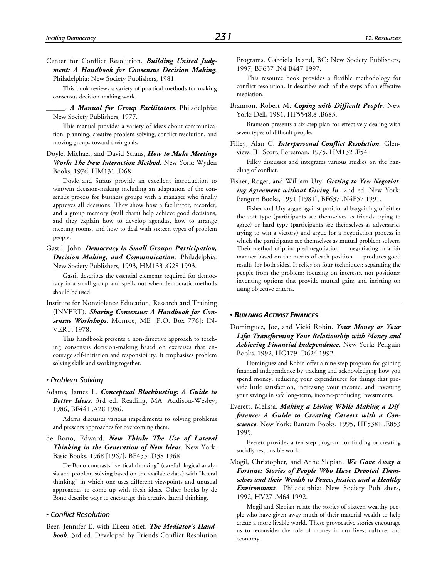Center for Conflict Resolution. *Building United Judgment: A Handbook for Consensus Decision Making*. Philadelphia: New Society Publishers, 1981.

This book reviews a variety of practical methods for making consensus decision-making work.

\_\_\_\_\_. *A Manual for Group Facilitators*. Philadelphia: New Society Publishers, 1977.

This manual provides a variety of ideas about communication, planning, creative problem solving, conflict resolution, and moving groups toward their goals.

Doyle, Michael, and David Straus, *How to Make Meetings Work: The New Interaction Method*. New York: Wyden Books, 1976, HM131 .D68.

Doyle and Straus provide an excellent introduction to win/win decision-making including an adaptation of the consensus process for business groups with a manager who finally approves all decisions. They show how a facilitator, recorder, and a group memory (wall chart) help achieve good decisions, and they explain how to develop agendas, how to arrange meeting rooms, and how to deal with sixteen types of problem people.

Gastil, John. *Democracy in Small Groups: Participation, Decision Making, and Communication*. Philadelphia: New Society Publishers, 1993, HM133 .G28 1993.

Gastil describes the essential elements required for democracy in a small group and spells out when democratic methods should be used.

Institute for Nonviolence Education, Research and Training (INVERT). *Sharing Consensus: A Handbook for Consensus Workshops*. Monroe, ME [P.O. Box 776]: IN-VERT, 1978.

This handbook presents a non-directive approach to teaching consensus decision-making based on exercises that encourage self-initiation and responsibility. It emphasizes problem solving skills and working together.

#### *• Problem Solving*

Adams, James L. *Conceptual Blockbusting: A Guide to Better Ideas*. 3rd ed. Reading, MA: Addison-Wesley, 1986, BF441 .A28 1986.

Adams discusses various impediments to solving problems and presents approaches for overcoming them.

de Bono, Edward. *New Think: The Use of Lateral Thinking in the Generation of New Ideas*. New York: Basic Books, 1968 [1967], BF455 .D38 1968

De Bono contrasts "vertical thinking" (careful, logical analysis and problem solving based on the available data) with "lateral thinking" in which one uses different viewpoints and unusual approaches to come up with fresh ideas. Other books by de Bono describe ways to encourage this creative lateral thinking.

#### *• Conflict Resolution*

Beer, Jennifer E. with Eileen Stief. *The Mediator's Handbook*. 3rd ed. Developed by Friends Conflict Resolution Programs. Gabriola Island, BC: New Society Publishers, 1997, BF637 .N4 B447 1997.

This resource book provides a flexible methodology for conflict resolution. It describes each of the steps of an effective mediation.

Bramson, Robert M. *Coping with Difficult People*. New York: Dell, 1981, HF5548.8 .B683.

Bramson presents a six-step plan for effectively dealing with seven types of difficult people.

Filley, Alan C. *Interpersonal Conflict Resolution*. Glenview, IL: Scott, Foresman, 1975, HM132 .F54.

Filley discusses and integrates various studies on the handling of conflict.

Fisher, Roger, and William Ury. *Getting to Yes: Negotiating Agreement without Giving In*. 2nd ed. New York: Penguin Books, 1991 [1981], BF637 .N4F57 1991.

Fisher and Ury argue against positional bargaining of either the soft type (participants see themselves as friends trying to agree) or hard type (participants see themselves as adversaries trying to win a victory) and argue for a negotiation process in which the participants see themselves as mutual problem solvers. Their method of principled negotiation — negotiating in a fair manner based on the merits of each position — produces good results for both sides. It relies on four techniques: separating the people from the problem; focusing on interests, not positions; inventing options that provide mutual gain; and insisting on using objective criteria.

#### *• BUILDING ACTIVIST FINANCES*

Dominguez, Joe, and Vicki Robin. *Your Money or Your Life: Transforming Your Relationship with Money and Achieving Financial Independence*. New York: Penguin Books, 1992, HG179 .D624 1992.

Dominguez and Robin offer a nine-step program for gaining financial independence by tracking and acknowledging how you spend money, reducing your expenditures for things that provide little satisfaction, increasing your income, and investing your savings in safe long-term, income-producing investments.

Everett, Melissa. *Making a Living While Making a Difference: A Guide to Creating Careers with a Conscience*. New York: Bantam Books, 1995, HF5381 .E853 1995.

Everett provides a ten-step program for finding or creating socially responsible work.

Mogil, Christopher, and Anne Slepian. *We Gave Away a Fortune: Stories of People Who Have Devoted Themselves and their Wealth to Peace, Justice, and a Healthy Environment*. Philadelphia: New Society Publishers, 1992, HV27 .M64 1992.

Mogil and Slepian relate the stories of sixteen wealthy people who have given away much of their material wealth to help create a more livable world. These provocative stories encourage us to reconsider the role of money in our lives, culture, and economy.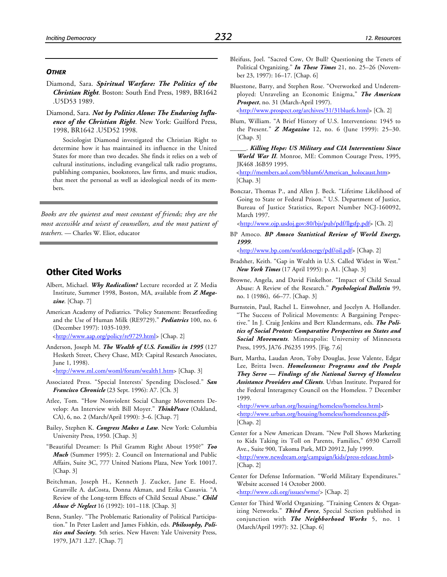#### *OTHER*

Diamond, Sara. *Spiritual Warfare: The Politics of the Christian Right*. Boston: South End Press, 1989, BR1642 .U5D53 1989.

Diamond, Sara. *Not by Politics Alone: The Enduring Influence of the Christian Right*. New York: Guilford Press, 1998, BR1642 .U5D52 1998.

Sociologist Diamond investigated the Christian Right to determine how it has maintained its influence in the United States for more than two decades. She finds it relies on a web of cultural institutions, including evangelical talk radio programs, publishing companies, bookstores, law firms, and music studios, that meet the personal as well as ideological needs of its members.

*Books are the quietest and most constant of friends; they are the most accessible and wisest of counsellors, and the most patient of teachers.* — Charles W. Eliot, educator

## **Other Cited Works**

Albert, Michael. *Why Radicalism?* Lecture recorded at Z Media Institute, Summer 1998, Boston, MA, available from *Z Magazine*. [Chap. 7]

American Academy of Pediatrics. "Policy Statement: Breastfeeding and the Use of Human Milk (RE9729)." *Pediatrics* 100, no. 6 (December 1997): 1035-1039. [<http://www.aap.org/policy/re9729.html>](http://www.aap.org/policy/re9729.html) [Chap. 2]

Anderson, Joseph M. *The Wealth of U.S. Families in 1995* (127 Hesketh Street, Chevy Chase, MD: Capital Research Associates, June 1, 1998).

[<http://www.ml.com/woml/forum/wealth1.htm>](http://www.ml.com/woml/forum/wealth1.htm) [Chap. 3]

- Associated Press. "Special Interests' Spending Disclosed." *San Francisco Chronicle* (23 Sept. 1996): A7. [Ch. 3]
- Atlee, Tom. "How Nonviolent Social Change Movements Develop: An Interview with Bill Moyer." *ThinkPeace* (Oakland, CA), 6, no. 2 (March/April 1990): 3–6. [Chap. 7]
- Bailey, Stephen K. *Congress Makes a Law*. New York: Columbia University Press, 1950. [Chap. 3]
- "Beautiful Dreamer: Is Phil Gramm Right About 1950?" *Too Much* (Summer 1995): 2. Council on International and Public Affairs, Suite 3C, 777 United Nations Plaza, New York 10017. [Chap. 3]
- Beitchman, Joseph H., Kenneth J. Zucker, Jane E. Hood, Granville A. daCosta, Donna Akman, and Erika Cassavia. "A Review of the Long-term Effects of Child Sexual Abuse." *Child Abuse & Neglect* 16 (1992): 101–118. [Chap. 3]
- Benn, Stanley. "The Problematic Rationality of Political Participation." In Peter Laslett and James Fishkin, eds. *Philosophy, Politics and Society*. 5th series. New Haven: Yale University Press, 1979, JA71 .L27. [Chap. 7]
- Bleifuss, Joel. "Sacred Cow, Or Bull? Questioning the Tenets of Political Organizing." *In These Times* 21, no. 25–26 (November 23, 1997): 16–17. [Chap. 6]
- Bluestone, Barry, and Stephen Rose. "Overworked and Underemployed: Unraveling an Economic Enigma," *The American Prospect*, no. 31 (March-April 1997).

[<http://www.prospect.org/archives/31/31bluefs.html>](http://www.prospect.org/archives/31/31bluefs.html) [Ch. 2]

Blum, William. "A Brief History of U.S. Interventions: 1945 to the Present." *Z Magazine* 12, no. 6 (June 1999): 25–30. [Chap. 3]

\_\_\_\_\_. *Killing Hope: US Military and CIA Interventions Since World War II*. Monroe, ME: Common Courage Press, 1995, JK468 .I6B59 1995.

[<http://members.aol.com/bblum6/American\\_holocaust.htm>](http://members.aol.com/bblum6/American_holocaust.htm) [Chap. 3]

Bonczar, Thomas P., and Allen J. Beck. "Lifetime Likelihood of Going to State or Federal Prison." U.S. Department of Justice, Bureau of Justice Statistics, Report Number NCJ-160092, March 1997.

[<http://www.ojp.usdoj.gov:80/bjs/pub/pdf/llgsfp.pdf>](http://www.ojp.usdoj.gov:80/bjs/pub/pdf/llgsfp.pdf) [Ch. 2]

BP Amoco. *BP Amoco Statistical Review of World Energy, 1999*.

[<http://www.bp.com/worldenergy/pdf/oil.pdf>](http://www.bp.com/worldenergy/pdf/oil.pdf) [Chap. 2]

- Bradsher, Keith. "Gap in Wealth in U.S. Called Widest in West." *New York Times* (17 April 1995): p. A1. [Chap. 3]
- Browne, Angela, and David Finkelhor. "Impact of Child Sexual Abuse: A Review of the Research." *Psychological Bulletin* 99, no. 1 (1986), 66–77. [Chap. 3]
- Burnstein, Paul, Rachel L. Einwohner, and Jocelyn A. Hollander. "The Success of Political Movements: A Bargaining Perspective." In J. Craig Jenkins and Bert Klandermans, eds. *The Politics of Social Protest: Comparative Perspectives on States and Social Movements*. Minneapolis: University of Minnesota Press, 1995, JA76 .P6235 1995. [Fig. 7.6]
- Burt, Martha, Laudan Aron, Toby Douglas, Jesse Valente, Edgar Lee, Britta Iwen. *Homelessness: Programs and the People They Serve — Findings of the National Survey of Homeless Assistance Providers and Clients*. Urban Institute. Prepared for the Federal Interagency Council on the Homeless. 7 December 1999.

[<http://www.urban.org/housing/homeless/homeless.html>](http://www.urban.org/housing/homeless/homeless.html) [<http://www.urban.org/housing/homeless/homelessness.pdf>](http://www.urban.org/housing/homeless/homelessness.pdf) [Chap. 2]

- Center for a New American Dream. "New Poll Shows Marketing to Kids Taking its Toll on Parents, Families," 6930 Carroll Ave., Suite 900, Takoma Park, MD 20912, July 1999. [<http://www.newdream.org/campaign/kids/press-release.html>](http://www.newdream.org/campaign/kids/press-release.html) [Chap. 2]
- Center for Defense Information. "World Military Expenditures." Website accessed 14 October 2000. [<http://www.cdi.org/issues/wme/>](http://www.cdi.org/issues/wme/) [Chap. 2]
- Center for Third World Organizing. "Training Centers & Organizing Networks." *Third Force*, Special Section published in conjunction with *The Neighborhood Works* 5, no. 1 (March/April 1997): 32. [Chap. 6]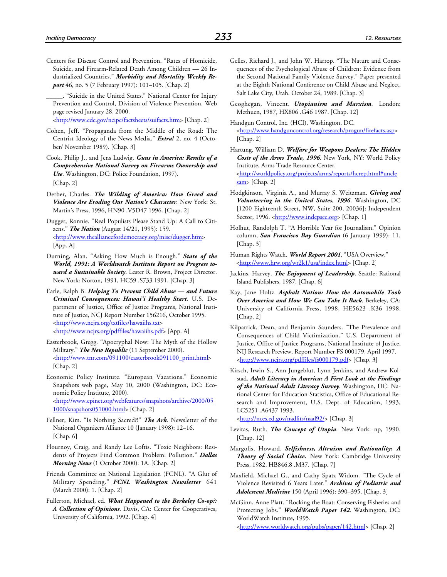- Centers for Disease Control and Prevention. "Rates of Homicide, Suicide, and Firearm-Related Death Among Children — 26 Industrialized Countries." *Morbidity and Mortality Weekly Report* 46, no. 5 (7 February 1997): 101–105. [Chap. 2]
- \_\_\_\_\_. "Suicide in the United States." National Center for Injury Prevention and Control, Division of Violence Prevention. Web page revised January 28, 2000. [<http://www.cdc.gov/ncipc/factsheets/suifacts.htm>](http://www.cdc.gov/ncipc/factsheets/suifacts.htm) [Chap. 2]
- Cohen, Jeff. "Propaganda from the Middle of the Road: The Centrist Ideology of the News Media." *Extra!* 2, no. 4 (October/ November 1989). [Chap. 3]
- Cook, Philip J., and Jens Ludwig. *Guns in America: Results of a Comprehensive National Survey on Firearms Ownership and Use*. Washington, DC: Police Foundation, 1997). [Chap. 2]
- Derber, Charles. *The Wilding of America: How Greed and Violence Are Eroding Our Nation's Character.* New York: St. Martin's Press, 1996, HN90 .V5D47 1996. [Chap. 2]
- Dugger, Ronnie. "Real Populists Please Stand Up: A Call to Citizens." *The Nation* (August 14/21, 1995): 159. [<http://www.thealliancefordemocracy.org/misc/dugger.htm>](http://www.thealliancefordemocracy.org/misc/dugger.htm) [App. A]
- Durning, Alan. "Asking How Much is Enough." *State of the World, 1991: A Worldwatch Institute Report on Progress toward a Sustainable Society*. Lester R. Brown, Project Director. New York: Norton, 1991, HC59 .S733 1991. [Chap. 3]
- Earle, Ralph B. *Helping To Prevent Child Abuse and Future Criminal Consequences: Hawai'i Healthy Start*. U.S. Department of Justice, Office of Justice Programs, National Institute of Justice, NCJ Report Number 156216, October 1995. [<http://www.ncjrs.org/txtfiles/hawaiihs.txt>](http://www.ncjrs.org/txtfiles/hawaiihs.txt) [<http://www.ncjrs.org/pdffiles/hawaiihs.pdf>](http://www.ncjrs.org/pdffiles/hawaiihs.pdf) [App. A]
- Easterbrook, Gregg. "Apocryphal Now: The Myth of the Hollow Military." *The New Republic* (11 September 2000). [<http://www.tnr.com/091100/easterbrook091100\\_print.html>](http://www.tnr.com/091100/easterbrook091100_print.html) [Chap. 2]
- Economic Policy Institute. "European Vacations." Economic Snapshots web page, May 10, 2000 (Washington, DC: Economic Policy Institute, 2000). [<http://www.epinet.org/webfeatures/snapshots/archive/2000/05](http://www.epinet.org/webfeatures/snapshots/archive/2000/05) 1000/snapshots051000.html> [Chap. 2]
- Fellner, Kim. "Is Nothing Sacred?!" *The Ark*. Newsletter of the National Organizers Alliance 10 (January 1998): 12–16. [Chap. 6]
- Flournoy, Craig, and Randy Lee Loftis. "Toxic Neighbors: Residents of Projects Find Common Problem: Pollution." *Dallas Morning News* (1 October 2000): 1A. [Chap. 2]
- Friends Committee on National Legislation (FCNL). "A Glut of Military Spending." *FCNL Washington Newsletter* 641 (March 2000): 1. [Chap. 2]
- Fullerton, Michael, ed. *What Happened to the Berkeley Co-op?: A Collection of Opinions*. Davis, CA: Center for Cooperatives, University of California, 1992. [Chap. 4]
- Gelles, Richard J., and John W. Harrop. "The Nature and Consequences of the Psychological Abuse of Children: Evidence from the Second National Family Violence Survey." Paper presented at the Eighth National Conference on Child Abuse and Neglect, Salt Lake City, Utah. October 24, 1989. [Chap. 3]
- Geoghegan, Vincent. *Utopianism and Marxism*. London: Methuen, 1987, HX806 .G46 1987. [Chap. 12]
- Handgun Control, Inc. (HCI), Washington, DC. [<http://www.handguncontrol.org/research/progun/firefacts.asp>](http://www.handguncontrol.org/research/progun/firefacts.asp) [Chap. 2]
- Hartung, William D. *Welfare for Weapons Dealers: The Hidden Costs of the Arms Trade, 1996*. New York, NY: World Policy Institute, Arms Trade Resource Center. [<http://worldpolicy.org/projects/arms/reports/hcrep.html#uncle](http://worldpolicy.org/projects/arms/reports/hcrep.html#uncle)

 $\frac{\text{sam}}{\text{ռ}}$  [Chap. 2]

- Hodgkinson, Virginia A., and Murray S. Weitzman. *Giving and Volunteering in the United States*, *1996*. Washington, DC [1200 Eighteenth Street, NW, Suite 200, 20036]: Independent Sector, 1996. [<http://www.indepsec.org>](http://www.indepsec.org) [Chap. 1]
- Holhut, Randolph T. "A Horrible Year for Journalism." Opinion column, *San Francisco Bay Guardian* (6 January 1999): 11. [Chap. 3]
- Human Rights Watch. *World Report 2001*. "USA Overview." [<http://www.hrw.org/wr2k1/usa/index.html>](http://www.hrw.org/wr2k1/usa/index.html) [Chap. 2]
- Jackins, Harvey. *The Enjoyment of Leadership*. Seattle: Rational Island Publishers, 1987. [Chap. 6]
- Kay, Jane Holtz. *Asphalt Nation: How the Automobile Took Over America and How We Can Take It Back*. Berkeley, CA: University of California Press, 1998, HE5623 .K36 1998. [Chap. 2]
- Kilpatrick, Dean, and Benjamin Saunders. "The Prevalence and Consequences of Child Victimization." U.S. Department of Justice, Office of Justice Programs, National Institute of Justice, NIJ Research Preview, Report Number FS 000179, April 1997. [<http://www.ncjrs.org/pdffiles/fs000179.pdf>](http://www.ncjrs.org/pdffiles/fs000179.pdf) [Chap. 3]
- Kirsch, Irwin S., Ann Jungeblut, Lynn Jenkins, and Andrew Kolstad. *Adult Literacy in America: A First Look at the Findings of the National Adult Literacy Survey*. Washington, DC: National Center for Education Statistics, Office of Educational Research and Improvement, U.S. Dept. of Education, 1993, LC5251 .A6437 1993.

[<http://nces.ed.gov/nadlits/naal92/>](http://nces.ed.gov/nadlits/naal92/) [Chap. 3]

- Levitas, Ruth. *The Concept of Utopia*. New York: np, 1990. [Chap. 12]
- Margolis, Howard. *Selfishness, Altruism and Rationality: A Theory of Social Choice.* New York: Cambridge University Press, 1982, HB846.8 .M37. [Chap. 7]
- Maxfield, Michael G., and Cathy Spatz Widom. "The Cycle of Violence Revisited 6 Years Later." *Archives of Pediatric and Adolescent Medicine* 150 (April 1996): 390–395. [Chap. 3]
- McGinn, Anne Platt. "Rocking the Boat: Conserving Fisheries and Protecting Jobs." *WorldWatch Paper 142*. Washington, DC: WorldWatch Institute, 1995.

[<http://www.worldwatch.org/pubs/paper/142.html>](http://www.worldwatch.org/pubs/paper/142.html) [Chap. 2]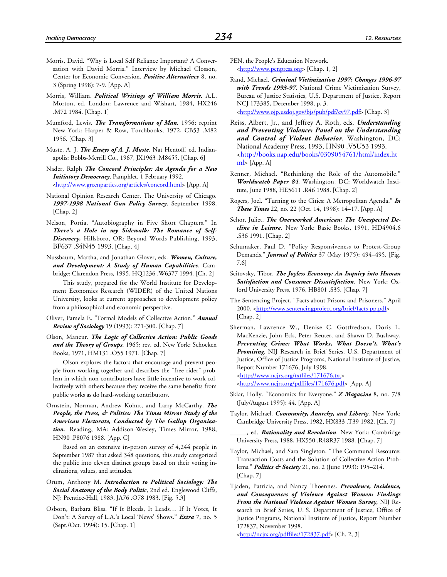- Morris, David. "Why is Local Self Reliance Important? A Conversation with David Morris." Interview by Michael Closson, Center for Economic Conversion. *Positive Alternatives* 8, no. 3 (Spring 1998): 7-9. [App. A]
- Morris, William. *Political Writings of William Morris*. A.L. Morton, ed. London: Lawrence and Wishart, 1984, HX246 .M72 1984. [Chap. 1]
- Mumford, Lewis. *The Transformations of Man*. 1956; reprint New York: Harper & Row, Torchbooks, 1972, CB53 .M82 1956. [Chap. 3]
- Muste, A. J. *The Essays of A. J. Muste*. Nat Hentoff, ed. Indianapolis: Bobbs-Merrill Co., 1967, JX1963 .M8455. [Chap. 6]
- Nader, Ralph *The Concord Principles: An Agenda for a New Initiatory Democracy*. Pamphlet. 1 February 1992. [<http://www.greenparties.org/articles/concord.html>](http://www.greenparties.org/articles/concord.html) [App. A]
- National Opinion Research Center, The University of Chicago. *1997-1998 National Gun Policy Survey*. September 1998. [Chap. 2]
- Nelson, Portia. "Autobiography in Five Short Chapters." In *There's a Hole in my Sidewalk: The Romance of Self-Discovery.* Hillsboro, OR: Beyond Words Publishing, 1993, BF637 .S4N45 1993. [Chap. 4]
- Nussbaum, Martha, and Jonathan Glover, eds. *Women, Culture, and Development: A Study of Human Capabilities*. Cambridge: Clarendon Press, 1995, HQ1236 .W6377 1994. [Ch. 2]

This study, prepared for the World Institute for Development Economics Research (WIDER) of the United Nations University, looks at current approaches to development policy from a philosophical and economic perspective.

- Oliver, Pamela E. "Formal Models of Collective Action." *Annual Review of Sociology* 19 (1993): 271-300. [Chap. 7]
- Olson, Mancur. *The Logic of Collective Action: Public Goods and the Theory of Groups*. 1965; rev. ed. New York: Schocken Books, 1971, HM131 .O55 1971. [Chap. 7]

Olson explores the factors that encourage and prevent people from working together and describes the "free rider" problem in which non-contributors have little incentive to work collectively with others because they receive the same benefits from public works as do hard-working contributors.

Ornstein, Norman, Andrew Kohut, and Larry McCarthy. *The People, the Press, & Politics: The Times Mirror Study of the American Electorate, Conducted by The Gallup Organization*. Reading, MA: Addison-Wesley, Times Mirror, 1988, HN90 .P8076 1988. [App. C]

Based on an extensive in-person survey of 4,244 people in September 1987 that asked 348 questions, this study categorized the public into eleven distinct groups based on their voting inclinations, values, and attitudes.

- Orum, Anthony M. *Introduction to Political Sociology: The Social Anatomy of the Body Politic*, 2nd ed. Englewood Cliffs, NJ: Prentice-Hall, 1983, JA76 .O78 1983. [Fig. 5.3]
- Osborn, Barbara Bliss. "If It Bleeds, It Leads… If It Votes, It Don't: A Survey of L.A.'s Local 'News' Shows." *Extra* 7, no. 5 (Sept./Oct. 1994): 15. [Chap. 1]

PEN, the People's Education Network. [<http://www.penpress.org>](http://www.penpress.org) [Chap. 1, 2]

Rand, Michael. *Criminal Victimization 1997: Changes 1996-97 with Trends 1993-97*. National Crime Victimization Survey, Bureau of Justice Statistics, U.S. Department of Justice, Report NCJ 173385, December 1998, p. 3.

[<http://www.ojp.usdoj.gov/bjs/pub/pdf/cv97.pdf>](http://www.ojp.usdoj.gov/bjs/pub/pdf/cv97.pdf) [Chap. 3]

- Reiss, Albert, Jr., and Jeffrey A. Roth, eds. *Understanding and Preventing Violence: Panel on the Understanding and Control of Violent Behavior*. Washington, DC: National Academy Press, 1993, HN90 .V5U53 1993. [<http://books.nap.edu/books/0309054761/html/index.ht](http://books.nap.edu/books/0309054761/html/index.ht)  $m$  [App. A]
- Renner, Michael. "Rethinking the Role of the Automobile." *Worldwatch Paper 84*. Washington, DC: Worldwatch Institute, June 1988, HE5611 .R46 1988. [Chap. 2]
- Rogers, Joel. "Turning to the Cities: A Metropolitan Agenda." *In These Times* 22, no. 22 (Oct. 14, 1998): 14–17. [App. A]
- Schor, Juliet. *The Overworked American: The Unexpected Decline in Leisure*. New York: Basic Books, 1991, HD4904.6 .S36 1991. [Chap. 2]
- Schumaker, Paul D. "Policy Responsiveness to Protest-Group Demands." *Journal of Politics* 37 (May 1975): 494–495. [Fig. 7.6]
- Scitovsky, Tibor. *The Joyless Economy: An Inquiry into Human Satisfaction and Consumer Dissatisfaction*. New York: Oxford University Press, 1976, HB801 .S35. [Chap. 7]
- The Sentencing Project. "Facts about Prisons and Prisoners." April 2000. [<http://www.sentencingproject.org/brief/facts-pp.pdf>](http://www.sentencingproject.org/brief/facts-pp.pdf) [Chap. 2]
- Sherman, Lawrence W., Denise C. Gottfredson, Doris L. MacKenzie, John Eck, Peter Reuter, and Shawn D. Bushway. *Preventing Crime: What Works, What Doesn't, What's Promising*. NIJ Research in Brief Series, U.S. Department of Justice, Office of Justice Programs, National Institute of Justice, Report Number 171676, July 1998. [<http://www.ncjrs.org/txtfiles/171676.txt>](http://www.ncjrs.org/txtfiles/171676.txt)

[<http://www.ncjrs.org/pdffiles/171676.pdf>](http://www.ncjrs.org/pdffiles/171676.pdf) [App. A]

- Sklar, Holly. "Economics for Everyone." *Z Magazine* 8, no. 7/8 (July/August 1995): 44. [App. A]
- Taylor, Michael. *Community, Anarchy, and Liberty*. New York: Cambridge University Press, 1982, HX833 .T39 1982. [Ch. 7]
- \_\_\_\_\_, ed. *Rationality and Revolution*. New York: Cambridge University Press, 1988, HX550 .R48R37 1988. [Chap. 7]
- Taylor, Michael, and Sara Singleton. "The Communal Resource: Transaction Costs and the Solution of Collective Action Problems." *Politics & Society* 21, no. 2 (June 1993): 195–214. [Chap. 7]
- Tjaden, Patricia, and Nancy Thoennes. *Prevalence, Incidence, and Consequences of Violence Against Women: Findings From the National Violence Against Women Survey*, NIJ Research in Brief Series, U. S. Department of Justice, Office of Justice Programs, National Institute of Justice, Report Number 172837, November 1998.

[<http://ncjrs.org/pdffiles/172837.pdf>](http://ncjrs.org/pdffiles/172837.pdf) [Ch. 2, 3]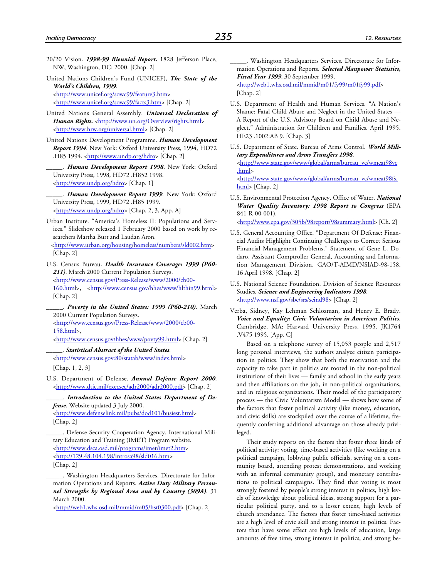- 20/20 Vision. *1998-99 Biennial Report.* 1828 Jefferson Place, NW, Washington, DC: 2000. [Chap. 2]
- United Nations Children's Fund (UNICEF), *The State of the World's Children, 1999*. [<http://www.unicef.org/sowc99/feature3.htm>](http://www.unicef.org/sowc99/feature3.htm)

[<http://www.unicef.org/sowc99/facts3.htm>](http://www.unicef.org/sowc99/facts3.htm) [Chap. 2]

United Nations General Assembly. *Universal Declaration of Human Rights.* [<http://www.un.org/Overview/rights.html>](http://www.un.org/Overview/rights.html) [<http://www.hrw.org/universal.html>](http://www.hrw.org/universal.html) [Chap. 2]

United Nations Development Programme. *Human Development Report 1994*. New York: Oxford University Press, 1994, HD72 .H85 1994. [<http://www.undp.org/hdro>](http://www.undp.org/hdro) [Chap. 2]

\_\_\_\_\_. *Human Development Report 1998*. New York: Oxford University Press, 1998, HD72 .H852 1998. [<http://www.undp.org/hdro>](http://www.undp.org/hdro) [Chap. 1]

\_\_\_\_\_. *Human Development Report 1999*. New York: Oxford University Press, 1999, HD72 .H85 1999. [<http://www.undp.org/hdro>](http://www.undp.org/hdro) [Chap. 2, 3, App. A]

Urban Institute. "America's Homeless II: Populations and Services." Slideshow released 1 February 2000 based on work by researchers Martha Burt and Laudan Aron. [<http://www.urban.org/housing/homeless/numbers/sld002.htm>](http://www.urban.org/housing/homeless/numbers/sld002.htm) [Chap. 2]

U.S. Census Bureau. *Health Insurance Coverage: 1999 (P60- 211)*. March 2000 Current Population Surveys. [<http://www.census.gov/Press-Release/www/2000/cb00-](http://www.census.gov/Press-Release/www/2000/cb00-) 160.html>, [<http://www.census.gov/hhes/www/hlthin99.html>](http://www.census.gov/hhes/www/hlthin99.html) [Chap. 2]

\_\_\_\_\_. *Poverty in the United States: 1999 (P60-210)*. March 2000 Current Population Surveys. [<http://www.census.gov/Press-Release/www/2000/cb00-](http://www.census.gov/Press-Release/www/2000/cb00-) 158.html>,

[<http://www.census.gov/hhes/www/povty99.html>](http://www.census.gov/hhes/www/povty99.html) [Chap. 2]

# \_\_\_\_\_. *Statistical Abstract of the United States*.

[<http://www.census.gov:80/statab/www/index.html>](http://www.census.gov:80/statab/www/index.html)

[Chap. 1, 2, 3]

U.S. Department of Defense. *Annual Defense Report 2000*. [<http://www.dtic.mil/execsec/adr2000/adr2000.pdf>](http://www.dtic.mil/execsec/adr2000/adr2000.pdf) [Chap. 2]

\_\_\_\_\_. *Introduction to the United States Department of Defense*. Website updated 3 July 2000. [<http://www.defenselink.mil/pubs/dod101/busiest.html>](http://www.defenselink.mil/pubs/dod101/busiest.html) [Chap. 2]

\_\_\_\_\_. Defense Security Cooperation Agency. International Military Education and Training (IMET) Program website. [<http://www.dsca.osd.mil/programs/imet/imet2.htm>](http://www.dsca.osd.mil/programs/imet/imet2.htm) [<http://129.48.104.198/introsa98/sld016.htm>](http://129.48.104.198/introsa98/sld016.htm) [Chap. 2]

\_\_\_\_\_. Washington Headquarters Services. Directorate for Information Operations and Reports. *Active Duty Military Personnel Strengths by Regional Area and by Country (309A)*. 31 March 2000.

[<http://web1.whs.osd.mil/mmid/m05/hst0300.pdf>](http://web1.whs.osd.mil/mmid/m05/hst0300.pdf) [Chap. 2]

\_\_\_\_\_. Washington Headquarters Services. Directorate for Information Operations and Reports. *Selected Manpower Statistics, Fiscal Year 1999*. 30 September 1999.

[<http://web1.whs.osd.mil/mmid/m01/fy99/m01fy99.pdf>](http://web1.whs.osd.mil/mmid/m01/fy99/m01fy99.pdf) [Chap. 2]

U.S. Department of Health and Human Services. "A Nation's Shame: Fatal Child Abuse and Neglect in the United States — A Report of the U.S. Advisory Board on Child Abuse and Neglect." Administration for Children and Families. April 1995. HE23 .1002:AB 9. [Chap. 3]

U.S. Department of State. Bureau of Arms Control. *World Military Expenditures and Arms Transfers 1998*. [<http://www.state.gov/www/global/arms/bureau\\_vc/wmeat98vc](http://www.state.gov/www/global/arms/bureau_vc/wmeat98vc) .html> [<http://www.state.gov/www/global/arms/bureau\\_vc/wmeat98fs.](http://www.state.gov/www/global/arms/bureau_vc/wmeat98fs)  $\frac{html}{m}$ [Chap. 2]

U.S. Environmental Protection Agency. Office of Water. *National Water Quality Inventory: 1998 Report to Congress* (EPA 841-R-00-001).

[<http://www.epa.gov/305b/98report/98summary.html>](http://www.epa.gov/305b/98report/98summary.html) [Ch. 2]

- U.S. General Accounting Office. "Department Of Defense: Financial Audits Highlight Continuing Challenges to Correct Serious Financial Management Problems." Statement of Gene L. Dodaro, Assistant Comptroller General, Accounting and Information Management Division. GAO/T-AIMD/NSIAD-98-158. 16 April 1998. [Chap. 2]
- U.S. National Science Foundation. Division of Science Resources Studies. *Science and Engineering Indicators 1998*. [<http://www.nsf.gov/sbe/srs/seind98>](http://www.nsf.gov/sbe/srs/seind98) [Chap. 2]

Verba, Sidney, Kay Lehman Schlozman, and Henry E. Brady. *Voice and Equality: Civic Voluntarism in American Politics*. Cambridge, MA: Harvard University Press, 1995, JK1764 .V475 1995. [App. C]

Based on a telephone survey of 15,053 people and 2,517 long personal interviews, the authors analyze citizen participation in politics. They show that both the motivation and the capacity to take part in politics are rooted in the non-political institutions of their lives — family and school in the early years and then affiliations on the job, in non-political organizations, and in religious organizations. Their model of the participatory process — the Civic Voluntarism Model — shows how some of the factors that foster political activity (like money, education, and civic skills) are stockpiled over the course of a lifetime, frequently conferring additional advantage on those already privileged.

Their study reports on the factors that foster three kinds of political activity: voting, time-based activities (like working on a political campaign, lobbying public officials, serving on a community board, attending protest demonstrations, and working with an informal community group), and monetary contributions to political campaigns. They find that voting is most strongly fostered by people's strong interest in politics, high levels of knowledge about political ideas, strong support for a particular political party, and to a lesser extent, high levels of church attendance. The factors that foster time-based activities are a high level of civic skill and strong interest in politics. Factors that have some effect are high levels of education, large amounts of free time, strong interest in politics, and strong be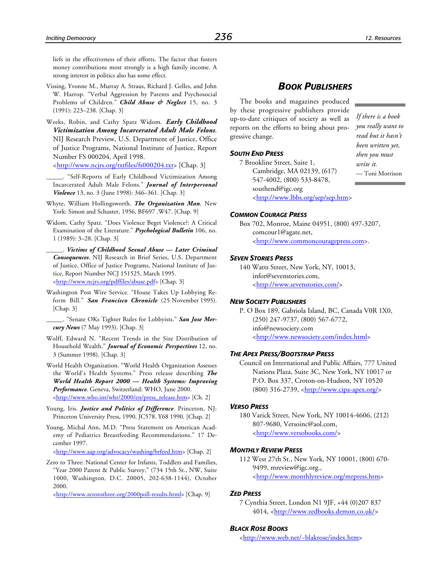liefs in the effectiveness of their efforts. The factor that fosters money contributions most strongly is a high family income. A strong interest in politics also has some effect.

- Vissing, Yvonne M., Murray A. Straus, Richard J. Gelles, and John W. Harrop. "Verbal Aggression by Parents and Psychosocial Problems of Children." *Child Abuse & Neglect* 15, no. 3 (1991): 223–238. [Chap. 3]
- Weeks, Robin, and Cathy Spatz Widom. *Early Childhood Victimization Among Incarcerated Adult Male Felons*. NIJ Research Preview, U.S. Department of Justice, Office of Justice Programs, National Institute of Justice, Report Number FS 000204, April 1998. [<http://www.ncjrs.org/txtfiles/fs000204.txt>](http://www.ncjrs.org/txtfiles/fs000204.txt) [Chap. 3]

\_\_\_\_\_. "Self-Reports of Early Childhood Victimization Among Incarcerated Adult Male Felons." *Journal of Interpersonal Violence* 13, no. 3 (June 1998): 346–361. [Chap. 3]

- Whyte, William Hollingsworth. *The Organization Man*. New York: Simon and Schuster, 1956, BF697 .W47. [Chap. 9]
- Widom, Cathy Spatz. "Does Violence Beget Violence?: A Critical Examination of the Literature." *Psychological Bulletin* 106, no. 1 (1989): 3–28. [Chap. 3]
- \_\_\_\_\_. *Victims of Childhood Sexual Abuse Later Criminal Consequences*. NIJ Research in Brief Series, U.S. Department of Justice, Office of Justice Programs, National Institute of Justice, Report Number NCJ 151525, March 1995. [<http://www.ncjrs.org/pdffiles/abuse.pdf>](http://www.ncjrs.org/pdffiles/abuse.pdf) [Chap. 3]
- Washington Post Wire Service. "House Takes Up Lobbying Reform Bill." *San Francisco Chronicle* (25 November 1995). [Chap. 3]
- \_\_\_\_\_. "Senate OKs Tighter Rules for Lobbyists." *San Jose Mercury News* (7 May 1993). [Chap. 3]
- Wolff, Edward N. "Recent Trends in the Size Distribution of Household Wealth." *Journal of Economic Perspectives* 12, no. 3 (Summer 1998). [Chap. 3]
- World Health Organization. "World Health Organization Assesses the World's Health Systems." Press release describing *The World Health Report 2000 — Health Systems: Improving Performance*. Geneva, Switzerland: WHO, June 2000. [<http://www.who.int/whr/2000/en/press\\_release.htm>](http://www.who.int/whr/2000/en/press_release.htm) [Ch. 2]
- Young, Iris. *Justice and Politics of Difference*. Princeton, NJ: Princeton University Press, 1990, JC578. Y68 1990. [Chap. 2]
- Young, Michal Ann, M.D. "Press Statement on American Academy of Pediatrics Breastfeeding Recommendations." 17 December 1997.

[<http://www.aap.org/advocacy/washing/brfeed.htm>](http://www.aap.org/advocacy/washing/brfeed.htm) [Chap. 2]

Zero to Three: National Center for Infants, Toddlers and Families, "Year 2000 Parent & Public Survey," (734 15th St., NW, Suite 1000, Washington, D.C. 20005, 202-638-1144), October 2000.

[<http://www.zerotothree.org/2000poll-results.html>](http://www.zerotothree.org/2000poll-results.html) [Chap. 9]

# *BOOK PUBLISHERS*

The books and magazines produced by these progressive publishers provide up-to-date critiques of society as well as reports on the efforts to bring about progressive change.

#### *SOUTH END PRESS*

7 Brookline Street, Suite 1, Cambridge, MA 02139, (617) 547-4002, (800) 533-8478, southend@igc.org [<http://www.lbbs.org/sep/sep.htm>](http://www.lbbs.org/sep/sep.htm)

#### *COMMON COURAGE PRESS*

Box 702, Monroe, Maine 04951, (800) 497-3207, comcour1@agate.net, [<http://www.commoncouragepress.com>.](http://www.commoncouragepress.com)

#### *SEVEN STORIES PRESS*

140 Watts Street, New York, NY, 10013, infor@sevenstories.com, [<http://www.sevenstories.com/>](http://www.sevenstories.com/)

#### *NEW SOCIETY PUBLISHERS*

P. O Box 189, Gabriola Island, BC, Canada V0R 1X0, (250) 247-9737, (800) 567-6772, info@newsociety.com [<http://www.newsociety.com/index.html>](http://www.newsociety.com/index.html)

#### *THE APEX PRESS/BOOTSTRAP PRESS*

Council on International and Public Affairs, 777 United Nations Plaza, Suite 3C, New York, NY 10017 or P.O. Box 337, Croton-on-Hudson, NY 10520 (800) 316-2739, [<http://www.cipa-apex.org/>](http://www.cipa-apex.org/)

#### *VERSO PRESS*

180 Varick Street, New York, NY 10014-4606, (212) 807-9680, Versoinc@aol.com, [<http://www.versobooks.com/>](http://www.versobooks.com/)

#### *MONTHLY REVIEW PRESS*

112 West 27th St., New York, NY 10001, (800) 670- 9499, mreview@igc.org., [<http://www.monthlyreview.org/mrpress.htm>](http://www.monthlyreview.org/mrpress.htm)

#### *ZED PRESS*

7 Cynthia Street, London N1 9JF, +44 (0)207 837 4014, [<http://www.zedbooks.demon.co.uk/>](http://www.zedbooks.demon.co.uk/)

#### *BLACK ROSE BOOKS*

[<http://www.web.net/~blakrose/index.htm>](http://www.web.net/~blakrose/index.htm)

*If there is a book you really want to read but it hasn't been written yet, then you must write it.*

— Toni Morrison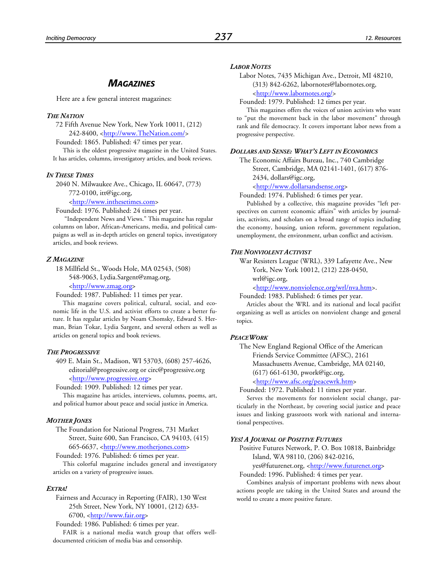# *MAGAZINES*

Here are a few general interest magazines:

#### *THE NATION*

72 Fifth Avenue New York, New York 10011, (212) 242-8400, [<http://www.TheNation.com/>](http://www.TheNation.com/)

Founded: 1865. Published: 47 times per year.

This is the oldest progressive magazine in the United States. It has articles, columns, investigatory articles, and book reviews.

#### *IN THESE TIMES*

2040 N. Milwaukee Ave., Chicago, IL 60647, (773)

772-0100, itt@igc.org,

[<http://www.inthesetimes.com>](http://www.inthesetimes.com)

Founded: 1976. Published: 24 times per year.

 "Independent News and Views." This magazine has regular columns on labor, African-Americans, media, and political campaigns as well as in-depth articles on general topics, investigatory articles, and book reviews.

#### *Z MAGAZINE*

18 Millfield St., Woods Hole, MA 02543, (508) 548-9063, Lydia.Sargent@zmag.org, [<http://www.zmag.org>](http://www.zmag.org)

Founded: 1987. Published: 11 times per year.

This magazine covers political, cultural, social, and economic life in the U.S. and activist efforts to create a better future. It has regular articles by Noam Chomsky, Edward S. Herman, Brian Tokar, Lydia Sargent, and several others as well as articles on general topics and book reviews.

#### *THE PROGRESSIVE*

409 E. Main St., Madison, WI 53703, (608) 257-4626, editorial@progressive.org or circ@progressive.org [<http://www.progressive.org>](http://www.progressive.org)

Founded: 1909. Published: 12 times per year. This magazine has articles, interviews, columns, poems, art, and political humor about peace and social justice in America.

#### *MOTHER JONES*

The Foundation for National Progress, 731 Market Street, Suite 600, San Francisco, CA 94103, (415) 665-6637, [<http://www.motherjones.com>](http://www.motherjones.com)

Founded: 1976. Published: 6 times per year.

This colorful magazine includes general and investigatory articles on a variety of progressive issues.

#### *EXTRA!*

Fairness and Accuracy in Reporting (FAIR), 130 West 25th Street, New York, NY 10001, (212) 633- 6700, [<http://www.fair.org>](http://www.fair.org)

Founded: 1986. Published: 6 times per year.

FAIR is a national media watch group that offers welldocumented criticism of media bias and censorship.

#### *LABOR NOTES*

Labor Notes, 7435 Michigan Ave., Detroit, MI 48210, (313) 842-6262, labornotes@labornotes.org,

#### [<http://www.labornotes.org/>](http://www.labornotes.org/)

Founded: 1979. Published: 12 times per year.

This magazines offers the voices of union activists who want to "put the movement back in the labor movement" through rank and file democracy. It covers important labor news from a progressive perspective.

#### *DOLLARS AND SENSE: WHAT'S LEFT IN ECONOMICS*

The Economic Affairs Bureau, Inc., 740 Cambridge Street, Cambridge, MA 02141-1401, (617) 876- 2434, dollars@igc.org,

[<http://www.dollarsandsense.org>](http://www.dollarsandsense.org)

Founded: 1974. Published: 6 times per year.

Published by a collective, this magazine provides "left perspectives on current economic affairs" with articles by journalists, activists, and scholars on a broad range of topics including the economy, housing, union reform, government regulation, unemployment, the environment, urban conflict and activism.

#### *THE NONVIOLENT ACTIVIST*

War Resisters League (WRL), 339 Lafayette Ave., New York, New York 10012, (212) 228-0450, wrl@igc.org,

[<http://www.nonviolence.org/wrl/nva.htm>.](http://www.nonviolence.org/wrl/nva.htm)

Founded: 1983. Published: 6 times per year.

Articles about the WRL and its national and local pacifist organizing as well as articles on nonviolent change and general topics.

#### *PEACEWORK*

The New England Regional Office of the American Friends Service Committee (AFSC), 2161

Massachusetts Avenue, Cambridge, MA 02140,

(617) 661-6130, pwork@igc.org,

[<http://www.afsc.org/peacewrk.htm>](http://www.afsc.org/peacewrk.htm)

Founded: 1972. Published: 11 times per year.

Serves the movements for nonviolent social change, particularly in the Northeast, by covering social justice and peace issues and linking grassroots work with national and international perspectives.

#### *YES! A JOURNAL OF POSITIVE FUTURES*

Positive Futures Network, P. O. Box 10818, Bainbridge Island, WA 98110, (206) 842-0216,

yes@futurenet.org, [<http://www.futurenet.org>](http://www.futurenet.org)

Founded: 1996. Published: 4 times per year.

Combines analysis of important problems with news about actions people are taking in the United States and around the world to create a more positive future.